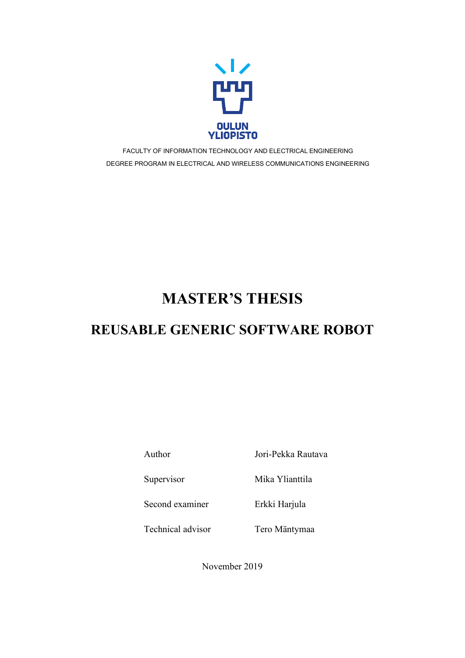

FACULTY OF INFORMATION TECHNOLOGY AND ELECTRICAL ENGINEERING DEGREE PROGRAM IN ELECTRICAL AND WIRELESS COMMUNICATIONS ENGINEERING

# **MASTER'S THESIS**

# **REUSABLE GENERIC SOFTWARE ROBOT**

Author Jori-Pekka Rautava

Supervisor Mika Ylianttila

Second examiner Erkki Harjula

Technical advisor Tero Mäntymaa

November 2019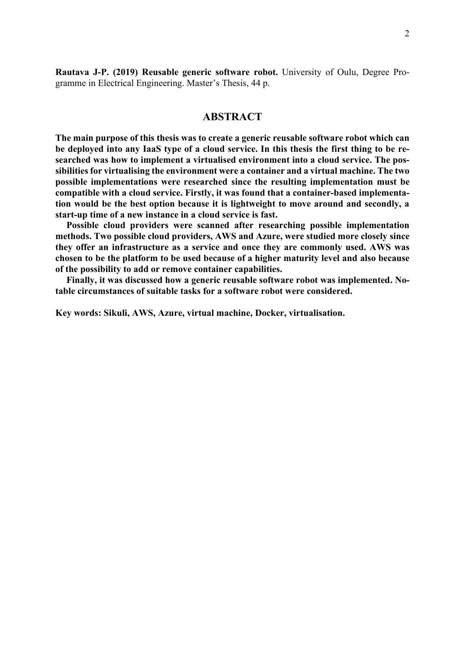**Rautava J-P. (2019) Reusable generic software robot.** University of Oulu, Degree Programme in Electrical Engineering. Master's Thesis, 44 p.

# **ABSTRACT**

<span id="page-1-0"></span>**The main purpose of this thesis was to create a generic reusable software robot which can be deployed into any IaaS type of a cloud service. In this thesis the first thing to be researched was how to implement a virtualised environment into a cloud service. The possibilities for virtualising the environment were a container and a virtual machine. The two possible implementations were researched since the resulting implementation must be compatible with a cloud service. Firstly, it was found that a container-based implementation would be the best option because it is lightweight to move around and secondly, a start-up time of a new instance in a cloud service is fast.**

**Possible cloud providers were scanned after researching possible implementation methods. Two possible cloud providers, AWS and Azure, were studied more closely since they offer an infrastructure as a service and once they are commonly used. AWS was chosen to be the platform to be used because of a higher maturity level and also because of the possibility to add or remove container capabilities.**

**Finally, it was discussed how a generic reusable software robot was implemented. Notable circumstances of suitable tasks for a software robot were considered.**

**Key words: Sikuli, AWS, Azure, virtual machine, Docker, virtualisation.**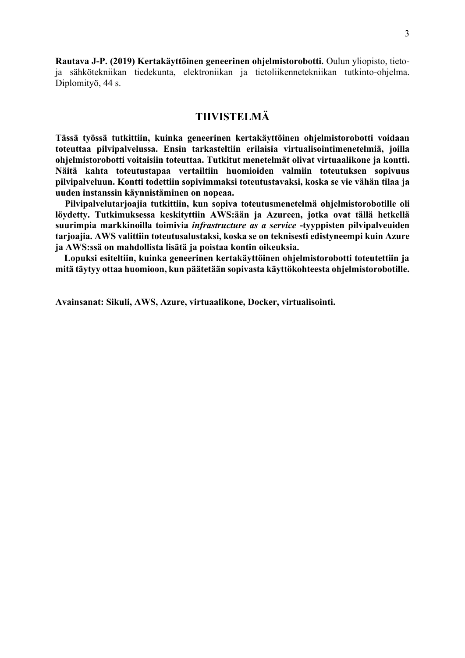**Rautava J-P. (2019) Kertakäyttöinen geneerinen ohjelmistorobotti.** Oulun yliopisto, tietoja sähkötekniikan tiedekunta, elektroniikan ja tietoliikennetekniikan tutkinto-ohjelma. Diplomityö, 44 s.

# **TIIVISTELMÄ**

<span id="page-2-0"></span>**Tässä työssä tutkittiin, kuinka geneerinen kertakäyttöinen ohjelmistorobotti voidaan toteuttaa pilvipalvelussa. Ensin tarkasteltiin erilaisia virtualisointimenetelmiä, joilla ohjelmistorobotti voitaisiin toteuttaa. Tutkitut menetelmät olivat virtuaalikone ja kontti. Näitä kahta toteutustapaa vertailtiin huomioiden valmiin toteutuksen sopivuus pilvipalveluun. Kontti todettiin sopivimmaksi toteutustavaksi, koska se vie vähän tilaa ja uuden instanssin käynnistäminen on nopeaa.**

 **Pilvipalvelutarjoajia tutkittiin, kun sopiva toteutusmenetelmä ohjelmistorobotille oli löydetty. Tutkimuksessa keskityttiin AWS:ään ja Azureen, jotka ovat tällä hetkellä suurimpia markkinoilla toimivia** *infrastructure as a service* **-tyyppisten pilvipalveuiden tarjoajia. AWS valittiin toteutusalustaksi, koska se on teknisesti edistyneempi kuin Azure ja AWS:ssä on mahdollista lisätä ja poistaa kontin oikeuksia.**

**Lopuksi esiteltiin, kuinka geneerinen kertakäyttöinen ohjelmistorobotti toteutettiin ja mitä täytyy ottaa huomioon, kun päätetään sopivasta käyttökohteesta ohjelmistorobotille.**

**Avainsanat: Sikuli, AWS, Azure, virtuaalikone, Docker, virtualisointi.**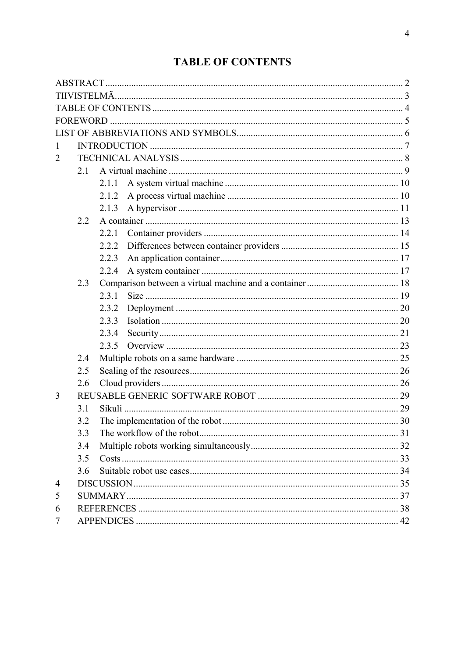# **TABLE OF CONTENTS**

<span id="page-3-0"></span>

| 1              |     |       |  |  |  |  |
|----------------|-----|-------|--|--|--|--|
| $\overline{2}$ |     |       |  |  |  |  |
|                | 2.1 |       |  |  |  |  |
|                |     | 2.1.1 |  |  |  |  |
|                |     | 2.1.2 |  |  |  |  |
|                |     | 2.1.3 |  |  |  |  |
|                | 2.2 |       |  |  |  |  |
|                |     | 2.2.1 |  |  |  |  |
|                |     | 2.2.2 |  |  |  |  |
|                |     | 2.2.3 |  |  |  |  |
|                |     | 2.2.4 |  |  |  |  |
|                | 2.3 |       |  |  |  |  |
|                |     | 2.3.1 |  |  |  |  |
|                |     | 2.3.2 |  |  |  |  |
|                |     | 2.3.3 |  |  |  |  |
|                |     | 2.3.4 |  |  |  |  |
|                |     | 2.3.5 |  |  |  |  |
|                | 2.4 |       |  |  |  |  |
|                | 2.5 |       |  |  |  |  |
|                | 2.6 |       |  |  |  |  |
| 3              |     |       |  |  |  |  |
|                | 3.1 |       |  |  |  |  |
|                | 3.2 |       |  |  |  |  |
|                | 3.3 |       |  |  |  |  |
|                | 3.4 |       |  |  |  |  |
|                | 3.5 |       |  |  |  |  |
|                | 3.6 |       |  |  |  |  |
| $\overline{4}$ |     |       |  |  |  |  |
| 5              |     |       |  |  |  |  |
| 6              |     |       |  |  |  |  |
| 7              |     |       |  |  |  |  |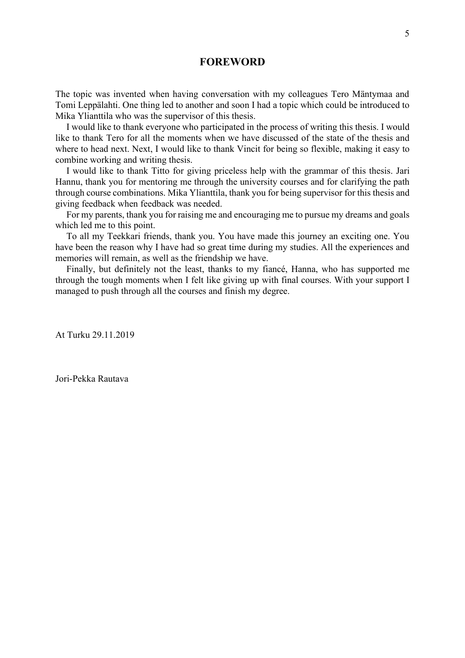# **FOREWORD**

<span id="page-4-0"></span>The topic was invented when having conversation with my colleagues Tero Mäntymaa and Tomi Leppälahti. One thing led to another and soon I had a topic which could be introduced to Mika Ylianttila who was the supervisor of this thesis.

I would like to thank everyone who participated in the process of writing this thesis. I would like to thank Tero for all the moments when we have discussed of the state of the thesis and where to head next. Next, I would like to thank Vincit for being so flexible, making it easy to combine working and writing thesis.

I would like to thank Titto for giving priceless help with the grammar of this thesis. Jari Hannu, thank you for mentoring me through the university courses and for clarifying the path through course combinations. Mika Ylianttila, thank you for being supervisor for this thesis and giving feedback when feedback was needed.

For my parents, thank you for raising me and encouraging me to pursue my dreams and goals which led me to this point.

To all my Teekkari friends, thank you. You have made this journey an exciting one. You have been the reason why I have had so great time during my studies. All the experiences and memories will remain, as well as the friendship we have.

Finally, but definitely not the least, thanks to my fiancé, Hanna, who has supported me through the tough moments when I felt like giving up with final courses. With your support I managed to push through all the courses and finish my degree.

At Turku 29.11.2019

Jori-Pekka Rautava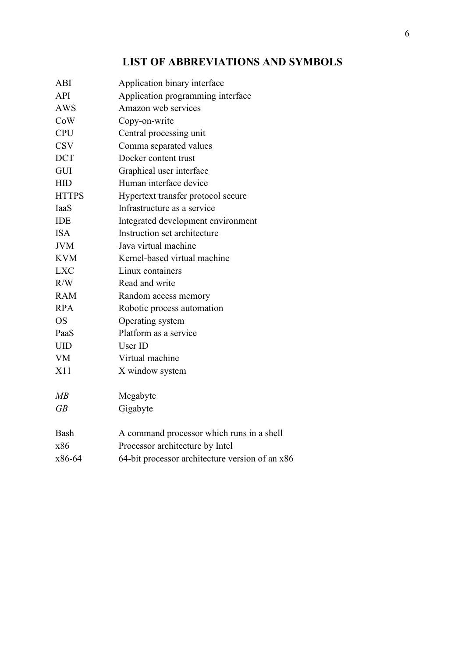# **LIST OF ABBREVIATIONS AND SYMBOLS**

<span id="page-5-0"></span>

| ABI          | Application binary interface                    |
|--------------|-------------------------------------------------|
| <b>API</b>   | Application programming interface               |
| <b>AWS</b>   | Amazon web services                             |
| CoW          | Copy-on-write                                   |
| <b>CPU</b>   | Central processing unit                         |
| <b>CSV</b>   | Comma separated values                          |
| <b>DCT</b>   | Docker content trust                            |
| <b>GUI</b>   | Graphical user interface                        |
| <b>HID</b>   | Human interface device                          |
| <b>HTTPS</b> | Hypertext transfer protocol secure              |
| IaaS         | Infrastructure as a service                     |
| <b>IDE</b>   | Integrated development environment              |
| <b>ISA</b>   | Instruction set architecture                    |
| <b>JVM</b>   | Java virtual machine                            |
| <b>KVM</b>   | Kernel-based virtual machine                    |
| <b>LXC</b>   | Linux containers                                |
| R/W          | Read and write                                  |
| <b>RAM</b>   | Random access memory                            |
| <b>RPA</b>   | Robotic process automation                      |
| <b>OS</b>    | Operating system                                |
| PaaS         | Platform as a service                           |
| <b>UID</b>   | User ID                                         |
| <b>VM</b>    | Virtual machine                                 |
| X11          | X window system                                 |
| MB           | Megabyte                                        |
| GB           | Gigabyte                                        |
| Bash         | A command processor which runs in a shell       |
| x86          | Processor architecture by Intel                 |
| x86-64       | 64-bit processor architecture version of an x86 |
|              |                                                 |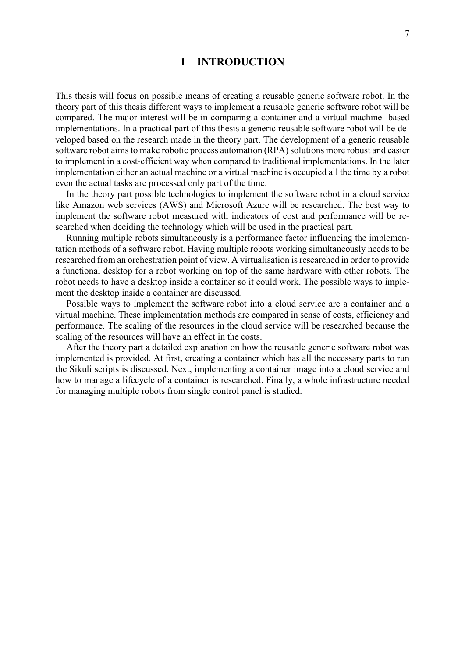# **1 INTRODUCTION**

<span id="page-6-0"></span>This thesis will focus on possible means of creating a reusable generic software robot. In the theory part of this thesis different ways to implement a reusable generic software robot will be compared. The major interest will be in comparing a container and a virtual machine -based implementations. In a practical part of this thesis a generic reusable software robot will be developed based on the research made in the theory part. The development of a generic reusable software robot aims to make robotic process automation (RPA) solutions more robust and easier to implement in a cost-efficient way when compared to traditional implementations. In the later implementation either an actual machine or a virtual machine is occupied all the time by a robot even the actual tasks are processed only part of the time.

In the theory part possible technologies to implement the software robot in a cloud service like Amazon web services (AWS) and Microsoft Azure will be researched. The best way to implement the software robot measured with indicators of cost and performance will be researched when deciding the technology which will be used in the practical part.

Running multiple robots simultaneously is a performance factor influencing the implementation methods of a software robot. Having multiple robots working simultaneously needs to be researched from an orchestration point of view. A virtualisation is researched in order to provide a functional desktop for a robot working on top of the same hardware with other robots. The robot needs to have a desktop inside a container so it could work. The possible ways to implement the desktop inside a container are discussed.

Possible ways to implement the software robot into a cloud service are a container and a virtual machine. These implementation methods are compared in sense of costs, efficiency and performance. The scaling of the resources in the cloud service will be researched because the scaling of the resources will have an effect in the costs.

After the theory part a detailed explanation on how the reusable generic software robot was implemented is provided. At first, creating a container which has all the necessary parts to run the Sikuli scripts is discussed. Next, implementing a container image into a cloud service and how to manage a lifecycle of a container is researched. Finally, a whole infrastructure needed for managing multiple robots from single control panel is studied.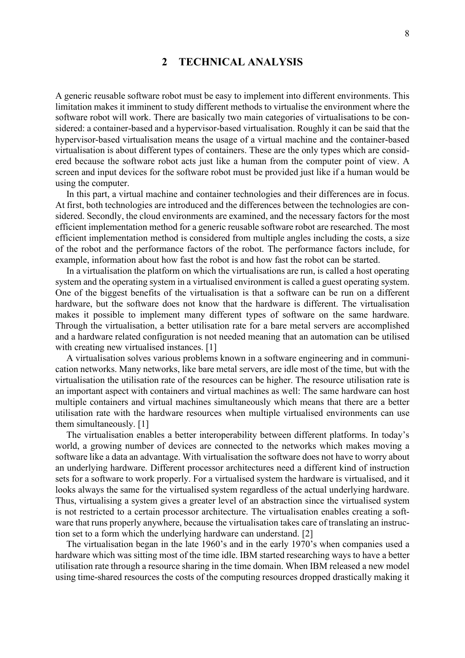# **2 TECHNICAL ANALYSIS**

<span id="page-7-0"></span>A generic reusable software robot must be easy to implement into different environments. This limitation makes it imminent to study different methods to virtualise the environment where the software robot will work. There are basically two main categories of virtualisations to be considered: a container-based and a hypervisor-based virtualisation. Roughly it can be said that the hypervisor-based virtualisation means the usage of a virtual machine and the container-based virtualisation is about different types of containers. These are the only types which are considered because the software robot acts just like a human from the computer point of view. A screen and input devices for the software robot must be provided just like if a human would be using the computer.

In this part, a virtual machine and container technologies and their differences are in focus. At first, both technologies are introduced and the differences between the technologies are considered. Secondly, the cloud environments are examined, and the necessary factors for the most efficient implementation method for a generic reusable software robot are researched. The most efficient implementation method is considered from multiple angles including the costs, a size of the robot and the performance factors of the robot. The performance factors include, for example, information about how fast the robot is and how fast the robot can be started.

In a virtualisation the platform on which the virtualisations are run, is called a host operating system and the operating system in a virtualised environment is called a guest operating system. One of the biggest benefits of the virtualisation is that a software can be run on a different hardware, but the software does not know that the hardware is different. The virtualisation makes it possible to implement many different types of software on the same hardware. Through the virtualisation, a better utilisation rate for a bare metal servers are accomplished and a hardware related configuration is not needed meaning that an automation can be utilised with creating new virtualised instances. [1]

A virtualisation solves various problems known in a software engineering and in communication networks. Many networks, like bare metal servers, are idle most of the time, but with the virtualisation the utilisation rate of the resources can be higher. The resource utilisation rate is an important aspect with containers and virtual machines as well: The same hardware can host multiple containers and virtual machines simultaneously which means that there are a better utilisation rate with the hardware resources when multiple virtualised environments can use them simultaneously. [1]

The virtualisation enables a better interoperability between different platforms. In today's world, a growing number of devices are connected to the networks which makes moving a software like a data an advantage. With virtualisation the software does not have to worry about an underlying hardware. Different processor architectures need a different kind of instruction sets for a software to work properly. For a virtualised system the hardware is virtualised, and it looks always the same for the virtualised system regardless of the actual underlying hardware. Thus, virtualising a system gives a greater level of an abstraction since the virtualised system is not restricted to a certain processor architecture. The virtualisation enables creating a software that runs properly anywhere, because the virtualisation takes care of translating an instruction set to a form which the underlying hardware can understand. [2]

The virtualisation began in the late 1960's and in the early 1970's when companies used a hardware which was sitting most of the time idle. IBM started researching ways to have a better utilisation rate through a resource sharing in the time domain. When IBM released a new model using time-shared resources the costs of the computing resources dropped drastically making it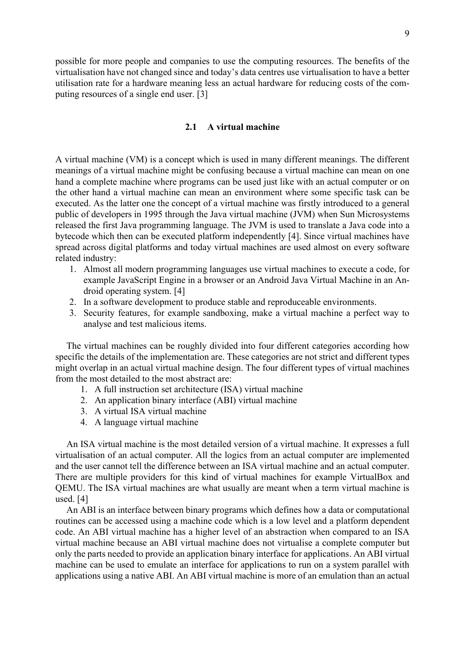possible for more people and companies to use the computing resources. The benefits of the virtualisation have not changed since and today's data centres use virtualisation to have a better utilisation rate for a hardware meaning less an actual hardware for reducing costs of the computing resources of a single end user. [3]

# **2.1 A virtual machine**

<span id="page-8-0"></span>A virtual machine (VM) is a concept which is used in many different meanings. The different meanings of a virtual machine might be confusing because a virtual machine can mean on one hand a complete machine where programs can be used just like with an actual computer or on the other hand a virtual machine can mean an environment where some specific task can be executed. As the latter one the concept of a virtual machine was firstly introduced to a general public of developers in 1995 through the Java virtual machine (JVM) when Sun Microsystems released the first Java programming language. The JVM is used to translate a Java code into a bytecode which then can be executed platform independently [4]. Since virtual machines have spread across digital platforms and today virtual machines are used almost on every software related industry:

- 1. Almost all modern programming languages use virtual machines to execute a code, for example JavaScript Engine in a browser or an Android Java Virtual Machine in an Android operating system. [4]
- 2. In a software development to produce stable and reproduceable environments.
- 3. Security features, for example sandboxing, make a virtual machine a perfect way to analyse and test malicious items.

The virtual machines can be roughly divided into four different categories according how specific the details of the implementation are. These categories are not strict and different types might overlap in an actual virtual machine design. The four different types of virtual machines from the most detailed to the most abstract are:

- 1. A full instruction set architecture (ISA) virtual machine
- 2. An application binary interface (ABI) virtual machine
- 3. A virtual ISA virtual machine
- 4. A language virtual machine

An ISA virtual machine is the most detailed version of a virtual machine. It expresses a full virtualisation of an actual computer. All the logics from an actual computer are implemented and the user cannot tell the difference between an ISA virtual machine and an actual computer. There are multiple providers for this kind of virtual machines for example VirtualBox and QEMU. The ISA virtual machines are what usually are meant when a term virtual machine is used. [4]

An ABI is an interface between binary programs which defines how a data or computational routines can be accessed using a machine code which is a low level and a platform dependent code. An ABI virtual machine has a higher level of an abstraction when compared to an ISA virtual machine because an ABI virtual machine does not virtualise a complete computer but only the parts needed to provide an application binary interface for applications. An ABI virtual machine can be used to emulate an interface for applications to run on a system parallel with applications using a native ABI. An ABI virtual machine is more of an emulation than an actual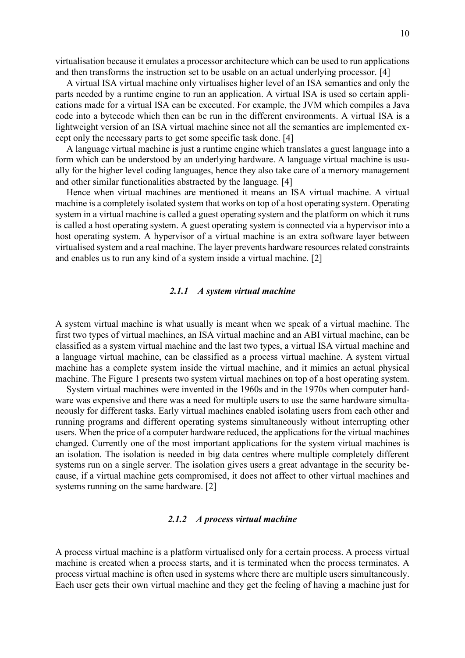virtualisation because it emulates a processor architecture which can be used to run applications and then transforms the instruction set to be usable on an actual underlying processor. [4]

A virtual ISA virtual machine only virtualises higher level of an ISA semantics and only the parts needed by a runtime engine to run an application. A virtual ISA is used so certain applications made for a virtual ISA can be executed. For example, the JVM which compiles a Java code into a bytecode which then can be run in the different environments. A virtual ISA is a lightweight version of an ISA virtual machine since not all the semantics are implemented except only the necessary parts to get some specific task done. [4]

A language virtual machine is just a runtime engine which translates a guest language into a form which can be understood by an underlying hardware. A language virtual machine is usually for the higher level coding languages, hence they also take care of a memory management and other similar functionalities abstracted by the language. [4]

Hence when virtual machines are mentioned it means an ISA virtual machine. A virtual machine is a completely isolated system that works on top of a host operating system. Operating system in a virtual machine is called a guest operating system and the platform on which it runs is called a host operating system. A guest operating system is connected via a hypervisor into a host operating system. A hypervisor of a virtual machine is an extra software layer between virtualised system and a real machine. The layer prevents hardware resources related constraints and enables us to run any kind of a system inside a virtual machine. [2]

#### *2.1.1 A system virtual machine*

<span id="page-9-0"></span>A system virtual machine is what usually is meant when we speak of a virtual machine. The first two types of virtual machines, an ISA virtual machine and an ABI virtual machine, can be classified as a system virtual machine and the last two types, a virtual ISA virtual machine and a language virtual machine, can be classified as a process virtual machine. A system virtual machine has a complete system inside the virtual machine, and it mimics an actual physical machine. The [Figure 1](#page-12-1) presents two system virtual machines on top of a host operating system.

System virtual machines were invented in the 1960s and in the 1970s when computer hardware was expensive and there was a need for multiple users to use the same hardware simultaneously for different tasks. Early virtual machines enabled isolating users from each other and running programs and different operating systems simultaneously without interrupting other users. When the price of a computer hardware reduced, the applications for the virtual machines changed. Currently one of the most important applications for the system virtual machines is an isolation. The isolation is needed in big data centres where multiple completely different systems run on a single server. The isolation gives users a great advantage in the security because, if a virtual machine gets compromised, it does not affect to other virtual machines and systems running on the same hardware. [2]

#### *2.1.2 A process virtual machine*

<span id="page-9-1"></span>A process virtual machine is a platform virtualised only for a certain process. A process virtual machine is created when a process starts, and it is terminated when the process terminates. A process virtual machine is often used in systems where there are multiple users simultaneously. Each user gets their own virtual machine and they get the feeling of having a machine just for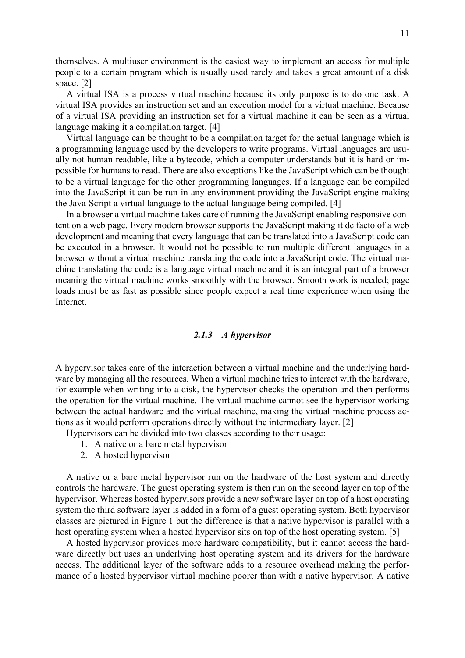themselves. A multiuser environment is the easiest way to implement an access for multiple people to a certain program which is usually used rarely and takes a great amount of a disk space. [2]

A virtual ISA is a process virtual machine because its only purpose is to do one task. A virtual ISA provides an instruction set and an execution model for a virtual machine. Because of a virtual ISA providing an instruction set for a virtual machine it can be seen as a virtual language making it a compilation target. [4]

Virtual language can be thought to be a compilation target for the actual language which is a programming language used by the developers to write programs. Virtual languages are usually not human readable, like a bytecode, which a computer understands but it is hard or impossible for humans to read. There are also exceptions like the JavaScript which can be thought to be a virtual language for the other programming languages. If a language can be compiled into the JavaScript it can be run in any environment providing the JavaScript engine making the Java-Script a virtual language to the actual language being compiled. [4]

In a browser a virtual machine takes care of running the JavaScript enabling responsive content on a web page. Every modern browser supports the JavaScript making it de facto of a web development and meaning that every language that can be translated into a JavaScript code can be executed in a browser. It would not be possible to run multiple different languages in a browser without a virtual machine translating the code into a JavaScript code. The virtual machine translating the code is a language virtual machine and it is an integral part of a browser meaning the virtual machine works smoothly with the browser. Smooth work is needed; page loads must be as fast as possible since people expect a real time experience when using the Internet.

#### *2.1.3 A hypervisor*

<span id="page-10-0"></span>A hypervisor takes care of the interaction between a virtual machine and the underlying hardware by managing all the resources. When a virtual machine tries to interact with the hardware, for example when writing into a disk, the hypervisor checks the operation and then performs the operation for the virtual machine. The virtual machine cannot see the hypervisor working between the actual hardware and the virtual machine, making the virtual machine process actions as it would perform operations directly without the intermediary layer. [2]

Hypervisors can be divided into two classes according to their usage:

- 1. A native or a bare metal hypervisor
- 2. A hosted hypervisor

A native or a bare metal hypervisor run on the hardware of the host system and directly controls the hardware. The guest operating system is then run on the second layer on top of the hypervisor. Whereas hosted hypervisors provide a new software layer on top of a host operating system the third software layer is added in a form of a guest operating system. Both hypervisor classes are pictured in [Figure 1](#page-12-1) but the difference is that a native hypervisor is parallel with a host operating system when a hosted hypervisor sits on top of the host operating system. [5]

A hosted hypervisor provides more hardware compatibility, but it cannot access the hardware directly but uses an underlying host operating system and its drivers for the hardware access. The additional layer of the software adds to a resource overhead making the performance of a hosted hypervisor virtual machine poorer than with a native hypervisor. A native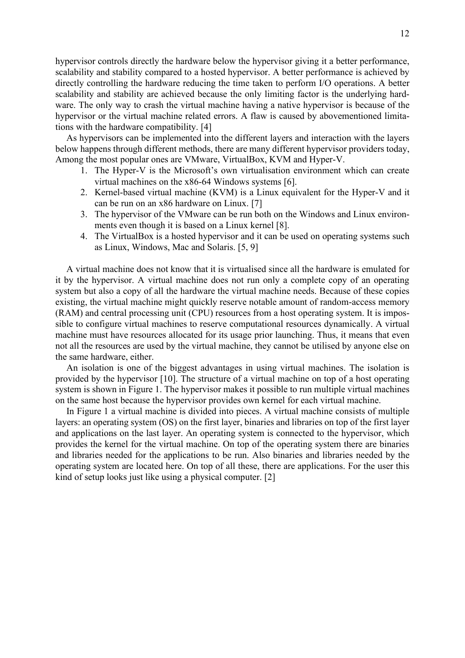hypervisor controls directly the hardware below the hypervisor giving it a better performance, scalability and stability compared to a hosted hypervisor. A better performance is achieved by directly controlling the hardware reducing the time taken to perform I/O operations. A better scalability and stability are achieved because the only limiting factor is the underlying hardware. The only way to crash the virtual machine having a native hypervisor is because of the hypervisor or the virtual machine related errors. A flaw is caused by abovementioned limitations with the hardware compatibility. [4]

As hypervisors can be implemented into the different layers and interaction with the layers below happens through different methods, there are many different hypervisor providers today, Among the most popular ones are VMware, VirtualBox, KVM and Hyper-V.

- 1. The Hyper-V is the Microsoft's own virtualisation environment which can create virtual machines on the x86-64 Windows systems [6].
- 2. Kernel-based virtual machine (KVM) is a Linux equivalent for the Hyper-V and it can be run on an x86 hardware on Linux. [7]
- 3. The hypervisor of the VMware can be run both on the Windows and Linux environments even though it is based on a Linux kernel [8].
- 4. The VirtualBox is a hosted hypervisor and it can be used on operating systems such as Linux, Windows, Mac and Solaris. [5, 9]

A virtual machine does not know that it is virtualised since all the hardware is emulated for it by the hypervisor. A virtual machine does not run only a complete copy of an operating system but also a copy of all the hardware the virtual machine needs. Because of these copies existing, the virtual machine might quickly reserve notable amount of random-access memory (RAM) and central processing unit (CPU) resources from a host operating system. It is impossible to configure virtual machines to reserve computational resources dynamically. A virtual machine must have resources allocated for its usage prior launching. Thus, it means that even not all the resources are used by the virtual machine, they cannot be utilised by anyone else on the same hardware, either.

An isolation is one of the biggest advantages in using virtual machines. The isolation is provided by the hypervisor [10]. The structure of a virtual machine on top of a host operating system is shown in [Figure 1.](#page-12-1) The hypervisor makes it possible to run multiple virtual machines on the same host because the hypervisor provides own kernel for each virtual machine.

In [Figure 1](#page-12-1) a virtual machine is divided into pieces. A virtual machine consists of multiple layers: an operating system (OS) on the first layer, binaries and libraries on top of the first layer and applications on the last layer. An operating system is connected to the hypervisor, which provides the kernel for the virtual machine. On top of the operating system there are binaries and libraries needed for the applications to be run. Also binaries and libraries needed by the operating system are located here. On top of all these, there are applications. For the user this kind of setup looks just like using a physical computer. [2]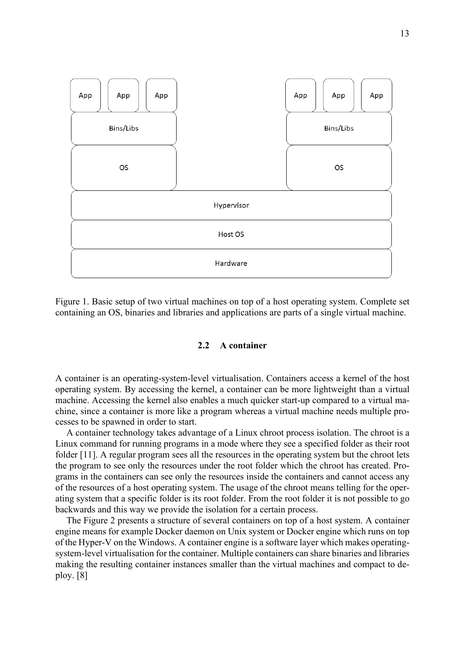

<span id="page-12-1"></span>Figure 1. Basic setup of two virtual machines on top of a host operating system. Complete set containing an OS, binaries and libraries and applications are parts of a single virtual machine.

#### **2.2 A container**

<span id="page-12-0"></span>A container is an operating-system-level virtualisation. Containers access a kernel of the host operating system. By accessing the kernel, a container can be more lightweight than a virtual machine. Accessing the kernel also enables a much quicker start-up compared to a virtual machine, since a container is more like a program whereas a virtual machine needs multiple processes to be spawned in order to start.

A container technology takes advantage of a Linux chroot process isolation. The chroot is a Linux command for running programs in a mode where they see a specified folder as their root folder [11]. A regular program sees all the resources in the operating system but the chroot lets the program to see only the resources under the root folder which the chroot has created. Programs in the containers can see only the resources inside the containers and cannot access any of the resources of a host operating system. The usage of the chroot means telling for the operating system that a specific folder is its root folder. From the root folder it is not possible to go backwards and this way we provide the isolation for a certain process.

The [Figure 2](#page-13-1) presents a structure of several containers on top of a host system. A container engine means for example Docker daemon on Unix system or Docker engine which runs on top of the Hyper-V on the Windows. A container engine is a software layer which makes operatingsystem-level virtualisation for the container. Multiple containers can share binaries and libraries making the resulting container instances smaller than the virtual machines and compact to deploy. [8]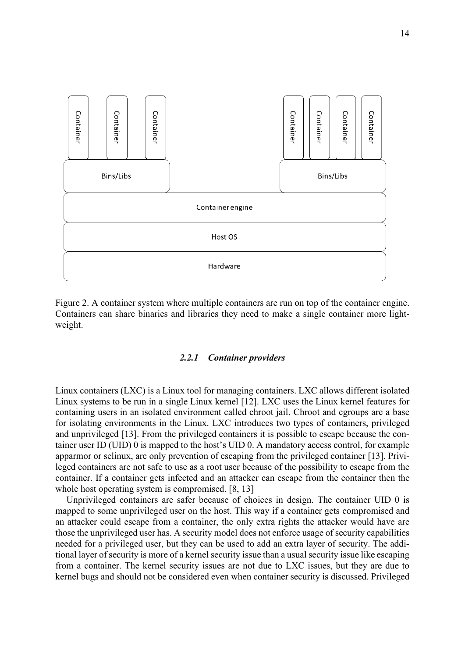

<span id="page-13-1"></span>Figure 2. A container system where multiple containers are run on top of the container engine. Containers can share binaries and libraries they need to make a single container more lightweight.

### *2.2.1 Container providers*

<span id="page-13-0"></span>Linux containers (LXC) is a Linux tool for managing containers. LXC allows different isolated Linux systems to be run in a single Linux kernel [12]. LXC uses the Linux kernel features for containing users in an isolated environment called chroot jail. Chroot and cgroups are a base for isolating environments in the Linux. LXC introduces two types of containers, privileged and unprivileged [13]. From the privileged containers it is possible to escape because the container user ID (UID) 0 is mapped to the host's UID 0. A mandatory access control, for example apparmor or selinux, are only prevention of escaping from the privileged container [13]. Privileged containers are not safe to use as a root user because of the possibility to escape from the container. If a container gets infected and an attacker can escape from the container then the whole host operating system is compromised. [8, 13]

Unprivileged containers are safer because of choices in design. The container UID 0 is mapped to some unprivileged user on the host. This way if a container gets compromised and an attacker could escape from a container, the only extra rights the attacker would have are those the unprivileged user has. A security model does not enforce usage of security capabilities needed for a privileged user, but they can be used to add an extra layer of security. The additional layer of security is more of a kernel security issue than a usual security issue like escaping from a container. The kernel security issues are not due to LXC issues, but they are due to kernel bugs and should not be considered even when container security is discussed. Privileged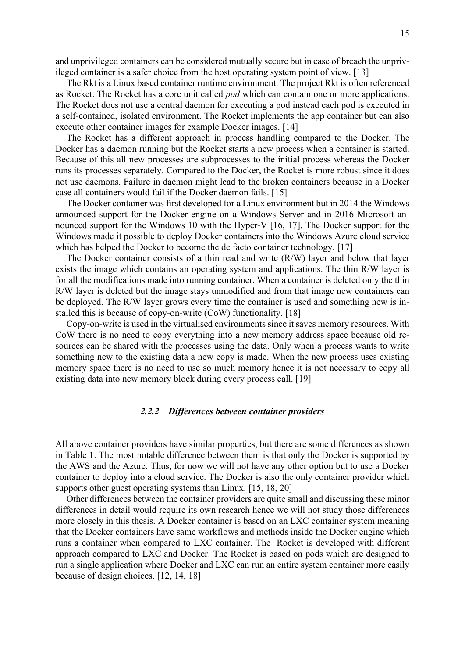and unprivileged containers can be considered mutually secure but in case of breach the unprivileged container is a safer choice from the host operating system point of view. [13]

The Rkt is a Linux based container runtime environment. The project Rkt is often referenced as Rocket. The Rocket has a core unit called *pod* which can contain one or more applications. The Rocket does not use a central daemon for executing a pod instead each pod is executed in a self-contained, isolated environment. The Rocket implements the app container but can also execute other container images for example Docker images. [14]

The Rocket has a different approach in process handling compared to the Docker. The Docker has a daemon running but the Rocket starts a new process when a container is started. Because of this all new processes are subprocesses to the initial process whereas the Docker runs its processes separately. Compared to the Docker, the Rocket is more robust since it does not use daemons. Failure in daemon might lead to the broken containers because in a Docker case all containers would fail if the Docker daemon fails. [15]

The Docker container was first developed for a Linux environment but in 2014 the Windows announced support for the Docker engine on a Windows Server and in 2016 Microsoft announced support for the Windows 10 with the Hyper-V [16, 17]. The Docker support for the Windows made it possible to deploy Docker containers into the Windows Azure cloud service which has helped the Docker to become the de facto container technology. [17]

The Docker container consists of a thin read and write (R/W) layer and below that layer exists the image which contains an operating system and applications. The thin R/W layer is for all the modifications made into running container. When a container is deleted only the thin R/W layer is deleted but the image stays unmodified and from that image new containers can be deployed. The R/W layer grows every time the container is used and something new is installed this is because of copy-on-write (CoW) functionality. [18]

Copy-on-write is used in the virtualised environments since it saves memory resources. With CoW there is no need to copy everything into a new memory address space because old resources can be shared with the processes using the data. Only when a process wants to write something new to the existing data a new copy is made. When the new process uses existing memory space there is no need to use so much memory hence it is not necessary to copy all existing data into new memory block during every process call. [19]

#### *2.2.2 Differences between container providers*

<span id="page-14-0"></span>All above container providers have similar properties, but there are some differences as shown in [Table 1.](#page-15-0) The most notable difference between them is that only the Docker is supported by the AWS and the Azure. Thus, for now we will not have any other option but to use a Docker container to deploy into a cloud service. The Docker is also the only container provider which supports other guest operating systems than Linux. [15, 18, 20]

Other differences between the container providers are quite small and discussing these minor differences in detail would require its own research hence we will not study those differences more closely in this thesis. A Docker container is based on an LXC container system meaning that the Docker containers have same workflows and methods inside the Docker engine which runs a container when compared to LXC container. The Rocket is developed with different approach compared to LXC and Docker. The Rocket is based on pods which are designed to run a single application where Docker and LXC can run an entire system container more easily because of design choices. [12, 14, 18]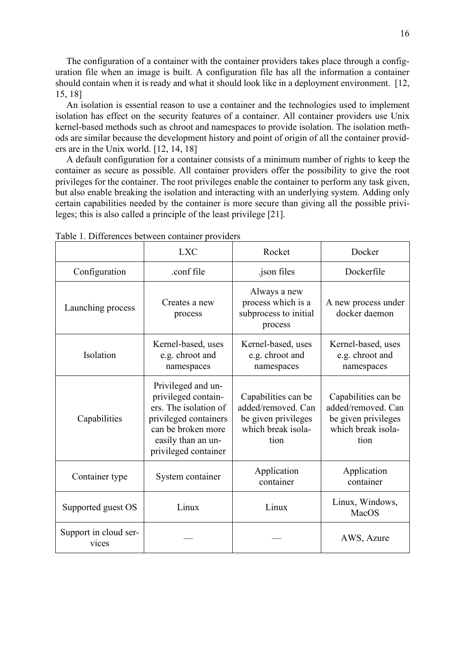The configuration of a container with the container providers takes place through a configuration file when an image is built. A configuration file has all the information a container should contain when it is ready and what it should look like in a deployment environment. [12, 15, 18]

An isolation is essential reason to use a container and the technologies used to implement isolation has effect on the security features of a container. All container providers use Unix kernel-based methods such as chroot and namespaces to provide isolation. The isolation methods are similar because the development history and point of origin of all the container providers are in the Unix world. [12, 14, 18]

A default configuration for a container consists of a minimum number of rights to keep the container as secure as possible. All container providers offer the possibility to give the root privileges for the container. The root privileges enable the container to perform any task given, but also enable breaking the isolation and interacting with an underlying system. Adding only certain capabilities needed by the container is more secure than giving all the possible privileges; this is also called a principle of the least privilege [21].

|                                | <b>LXC</b>                                                                                                                                                      | Rocket                                                                                         | Docker                                                                                         |
|--------------------------------|-----------------------------------------------------------------------------------------------------------------------------------------------------------------|------------------------------------------------------------------------------------------------|------------------------------------------------------------------------------------------------|
| Configuration                  | .conf file                                                                                                                                                      | .json files                                                                                    | Dockerfile                                                                                     |
| Launching process              | Creates a new<br>process                                                                                                                                        | Always a new<br>process which is a<br>subprocess to initial<br>process                         | A new process under<br>docker daemon                                                           |
| Isolation                      | Kernel-based, uses<br>e.g. chroot and<br>namespaces                                                                                                             | Kernel-based, uses<br>e.g. chroot and<br>namespaces                                            | Kernel-based, uses<br>e.g. chroot and<br>namespaces                                            |
| Capabilities                   | Privileged and un-<br>privileged contain-<br>ers. The isolation of<br>privileged containers<br>can be broken more<br>easily than an un-<br>privileged container | Capabilities can be<br>added/removed. Can<br>be given privileges<br>which break isola-<br>tion | Capabilities can be<br>added/removed. Can<br>be given privileges<br>which break isola-<br>tion |
| Container type                 | System container                                                                                                                                                | Application<br>container                                                                       | Application<br>container                                                                       |
| Supported guest OS             | Linux                                                                                                                                                           | Linux                                                                                          | Linux, Windows,<br>MacOS                                                                       |
| Support in cloud ser-<br>vices |                                                                                                                                                                 |                                                                                                | AWS, Azure                                                                                     |

<span id="page-15-0"></span>Table 1. Differences between container providers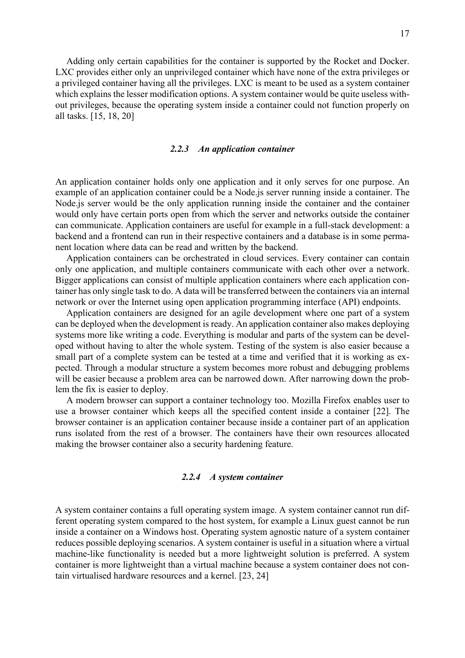Adding only certain capabilities for the container is supported by the Rocket and Docker. LXC provides either only an unprivileged container which have none of the extra privileges or a privileged container having all the privileges. LXC is meant to be used as a system container which explains the lesser modification options. A system container would be quite useless without privileges, because the operating system inside a container could not function properly on all tasks. [15, 18, 20]

#### *2.2.3 An application container*

<span id="page-16-0"></span>An application container holds only one application and it only serves for one purpose. An example of an application container could be a Node.js server running inside a container. The Node.js server would be the only application running inside the container and the container would only have certain ports open from which the server and networks outside the container can communicate. Application containers are useful for example in a full-stack development: a backend and a frontend can run in their respective containers and a database is in some permanent location where data can be read and written by the backend.

Application containers can be orchestrated in cloud services. Every container can contain only one application, and multiple containers communicate with each other over a network. Bigger applications can consist of multiple application containers where each application container has only single task to do. A data will be transferred between the containers via an internal network or over the Internet using open application programming interface (API) endpoints.

Application containers are designed for an agile development where one part of a system can be deployed when the development is ready. An application container also makes deploying systems more like writing a code. Everything is modular and parts of the system can be developed without having to alter the whole system. Testing of the system is also easier because a small part of a complete system can be tested at a time and verified that it is working as expected. Through a modular structure a system becomes more robust and debugging problems will be easier because a problem area can be narrowed down. After narrowing down the problem the fix is easier to deploy.

A modern browser can support a container technology too. Mozilla Firefox enables user to use a browser container which keeps all the specified content inside a container [22]. The browser container is an application container because inside a container part of an application runs isolated from the rest of a browser. The containers have their own resources allocated making the browser container also a security hardening feature.

#### *2.2.4 A system container*

<span id="page-16-1"></span>A system container contains a full operating system image. A system container cannot run different operating system compared to the host system, for example a Linux guest cannot be run inside a container on a Windows host. Operating system agnostic nature of a system container reduces possible deploying scenarios. A system container is useful in a situation where a virtual machine-like functionality is needed but a more lightweight solution is preferred. A system container is more lightweight than a virtual machine because a system container does not contain virtualised hardware resources and a kernel. [23, 24]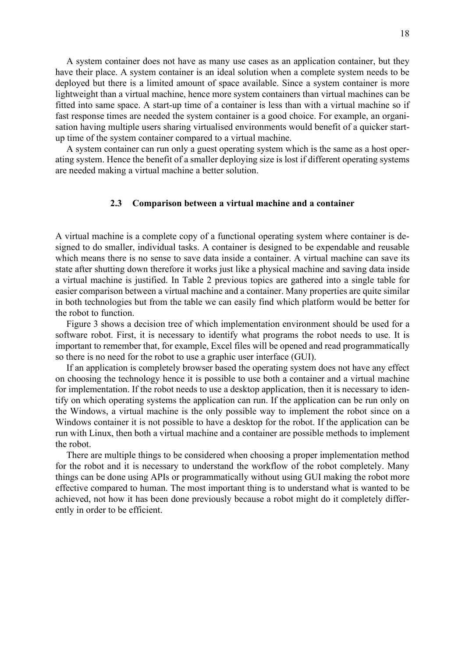A system container does not have as many use cases as an application container, but they have their place. A system container is an ideal solution when a complete system needs to be deployed but there is a limited amount of space available. Since a system container is more lightweight than a virtual machine, hence more system containers than virtual machines can be fitted into same space. A start-up time of a container is less than with a virtual machine so if fast response times are needed the system container is a good choice. For example, an organisation having multiple users sharing virtualised environments would benefit of a quicker startup time of the system container compared to a virtual machine.

A system container can run only a guest operating system which is the same as a host operating system. Hence the benefit of a smaller deploying size is lost if different operating systems are needed making a virtual machine a better solution.

#### **2.3 Comparison between a virtual machine and a container**

<span id="page-17-0"></span>A virtual machine is a complete copy of a functional operating system where container is designed to do smaller, individual tasks. A container is designed to be expendable and reusable which means there is no sense to save data inside a container. A virtual machine can save its state after shutting down therefore it works just like a physical machine and saving data inside a virtual machine is justified. In [Table 2](#page-23-0) previous topics are gathered into a single table for easier comparison between a virtual machine and a container. Many properties are quite similar in both technologies but from the table we can easily find which platform would be better for the robot to function.

[Figure 3](#page-18-1) shows a decision tree of which implementation environment should be used for a software robot. First, it is necessary to identify what programs the robot needs to use. It is important to remember that, for example, Excel files will be opened and read programmatically so there is no need for the robot to use a graphic user interface (GUI).

If an application is completely browser based the operating system does not have any effect on choosing the technology hence it is possible to use both a container and a virtual machine for implementation. If the robot needs to use a desktop application, then it is necessary to identify on which operating systems the application can run. If the application can be run only on the Windows, a virtual machine is the only possible way to implement the robot since on a Windows container it is not possible to have a desktop for the robot. If the application can be run with Linux, then both a virtual machine and a container are possible methods to implement the robot.

There are multiple things to be considered when choosing a proper implementation method for the robot and it is necessary to understand the workflow of the robot completely. Many things can be done using APIs or programmatically without using GUI making the robot more effective compared to human. The most important thing is to understand what is wanted to be achieved, not how it has been done previously because a robot might do it completely differently in order to be efficient.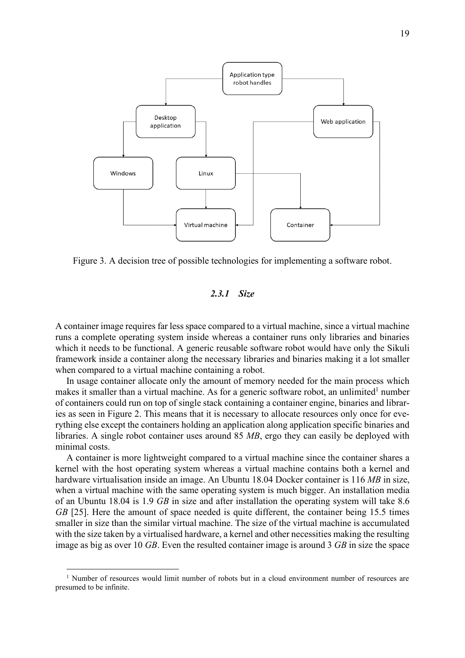

<span id="page-18-1"></span>Figure 3. A decision tree of possible technologies for implementing a software robot.

## *2.3.1 Size*

<span id="page-18-0"></span>A container image requires far less space compared to a virtual machine, since a virtual machine runs a complete operating system inside whereas a container runs only libraries and binaries which it needs to be functional. A generic reusable software robot would have only the Sikuli framework inside a container along the necessary libraries and binaries making it a lot smaller when compared to a virtual machine containing a robot.

In usage container allocate only the amount of memory needed for the main process which makes it smaller than a virtual machine. As for a generic software robot, an unlimited<sup>1</sup> number of containers could run on top of single stack containing a container engine, binaries and libraries as seen in [Figure 2.](#page-13-1) This means that it is necessary to allocate resources only once for everything else except the containers holding an application along application specific binaries and libraries. A single robot container uses around 85 *MB*, ergo they can easily be deployed with minimal costs.

A container is more lightweight compared to a virtual machine since the container shares a kernel with the host operating system whereas a virtual machine contains both a kernel and hardware virtualisation inside an image. An Ubuntu 18.04 Docker container is 116 *MB* in size, when a virtual machine with the same operating system is much bigger. An installation media of an Ubuntu 18.04 is 1.9 *GB* in size and after installation the operating system will take 8.6 *GB* [25]. Here the amount of space needed is quite different, the container being 15.5 times smaller in size than the similar virtual machine. The size of the virtual machine is accumulated with the size taken by a virtualised hardware, a kernel and other necessities making the resulting image as big as over 10 *GB*. Even the resulted container image is around 3 *GB* in size the space

 $1$  Number of resources would limit number of robots but in a cloud environment number of resources are presumed to be infinite.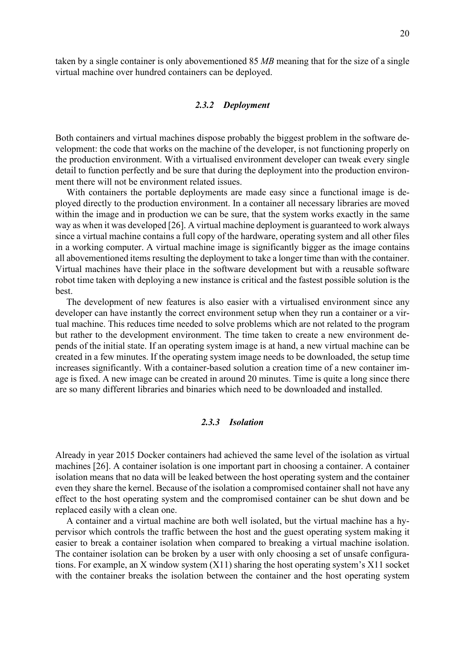taken by a single container is only abovementioned 85 *MB* meaning that for the size of a single virtual machine over hundred containers can be deployed.

#### *2.3.2 Deployment*

<span id="page-19-0"></span>Both containers and virtual machines dispose probably the biggest problem in the software development: the code that works on the machine of the developer, is not functioning properly on the production environment. With a virtualised environment developer can tweak every single detail to function perfectly and be sure that during the deployment into the production environment there will not be environment related issues.

With containers the portable deployments are made easy since a functional image is deployed directly to the production environment. In a container all necessary libraries are moved within the image and in production we can be sure, that the system works exactly in the same way as when it was developed [26]. A virtual machine deployment is guaranteed to work always since a virtual machine contains a full copy of the hardware, operating system and all other files in a working computer. A virtual machine image is significantly bigger as the image contains all abovementioned items resulting the deployment to take a longer time than with the container. Virtual machines have their place in the software development but with a reusable software robot time taken with deploying a new instance is critical and the fastest possible solution is the best.

The development of new features is also easier with a virtualised environment since any developer can have instantly the correct environment setup when they run a container or a virtual machine. This reduces time needed to solve problems which are not related to the program but rather to the development environment. The time taken to create a new environment depends of the initial state. If an operating system image is at hand, a new virtual machine can be created in a few minutes. If the operating system image needs to be downloaded, the setup time increases significantly. With a container-based solution a creation time of a new container image is fixed. A new image can be created in around 20 minutes. Time is quite a long since there are so many different libraries and binaries which need to be downloaded and installed.

# *2.3.3 Isolation*

<span id="page-19-1"></span>Already in year 2015 Docker containers had achieved the same level of the isolation as virtual machines [26]. A container isolation is one important part in choosing a container. A container isolation means that no data will be leaked between the host operating system and the container even they share the kernel. Because of the isolation a compromised container shall not have any effect to the host operating system and the compromised container can be shut down and be replaced easily with a clean one.

A container and a virtual machine are both well isolated, but the virtual machine has a hypervisor which controls the traffic between the host and the guest operating system making it easier to break a container isolation when compared to breaking a virtual machine isolation. The container isolation can be broken by a user with only choosing a set of unsafe configurations. For example, an X window system (X11) sharing the host operating system's X11 socket with the container breaks the isolation between the container and the host operating system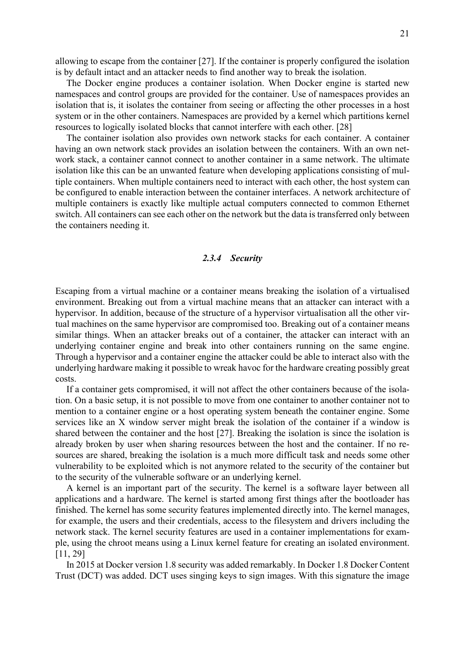allowing to escape from the container [27]. If the container is properly configured the isolation is by default intact and an attacker needs to find another way to break the isolation.

The Docker engine produces a container isolation. When Docker engine is started new namespaces and control groups are provided for the container. Use of namespaces provides an isolation that is, it isolates the container from seeing or affecting the other processes in a host system or in the other containers. Namespaces are provided by a kernel which partitions kernel resources to logically isolated blocks that cannot interfere with each other. [28]

The container isolation also provides own network stacks for each container. A container having an own network stack provides an isolation between the containers. With an own network stack, a container cannot connect to another container in a same network. The ultimate isolation like this can be an unwanted feature when developing applications consisting of multiple containers. When multiple containers need to interact with each other, the host system can be configured to enable interaction between the container interfaces. A network architecture of multiple containers is exactly like multiple actual computers connected to common Ethernet switch. All containers can see each other on the network but the data is transferred only between the containers needing it.

#### *2.3.4 Security*

<span id="page-20-0"></span>Escaping from a virtual machine or a container means breaking the isolation of a virtualised environment. Breaking out from a virtual machine means that an attacker can interact with a hypervisor. In addition, because of the structure of a hypervisor virtualisation all the other virtual machines on the same hypervisor are compromised too. Breaking out of a container means similar things. When an attacker breaks out of a container, the attacker can interact with an underlying container engine and break into other containers running on the same engine. Through a hypervisor and a container engine the attacker could be able to interact also with the underlying hardware making it possible to wreak havoc for the hardware creating possibly great costs.

If a container gets compromised, it will not affect the other containers because of the isolation. On a basic setup, it is not possible to move from one container to another container not to mention to a container engine or a host operating system beneath the container engine. Some services like an X window server might break the isolation of the container if a window is shared between the container and the host [27]. Breaking the isolation is since the isolation is already broken by user when sharing resources between the host and the container. If no resources are shared, breaking the isolation is a much more difficult task and needs some other vulnerability to be exploited which is not anymore related to the security of the container but to the security of the vulnerable software or an underlying kernel.

A kernel is an important part of the security. The kernel is a software layer between all applications and a hardware. The kernel is started among first things after the bootloader has finished. The kernel has some security features implemented directly into. The kernel manages, for example, the users and their credentials, access to the filesystem and drivers including the network stack. The kernel security features are used in a container implementations for example, using the chroot means using a Linux kernel feature for creating an isolated environment. [11, 29]

In 2015 at Docker version 1.8 security was added remarkably. In Docker 1.8 Docker Content Trust (DCT) was added. DCT uses singing keys to sign images. With this signature the image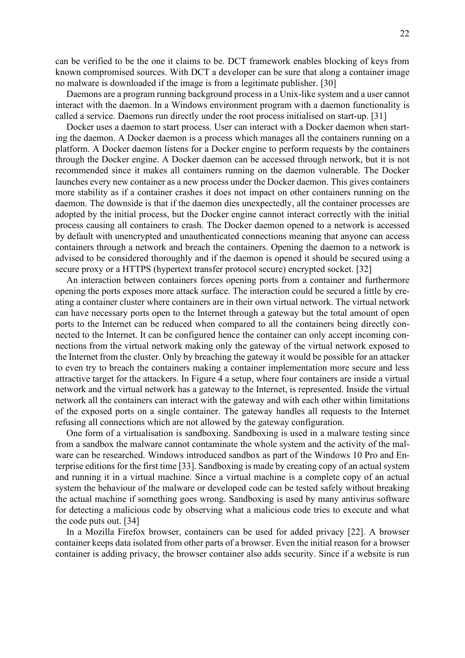can be verified to be the one it claims to be. DCT framework enables blocking of keys from known compromised sources. With DCT a developer can be sure that along a container image no malware is downloaded if the image is from a legitimate publisher. [30]

Daemons are a program running background process in a Unix-like system and a user cannot interact with the daemon. In a Windows environment program with a daemon functionality is called a service. Daemons run directly under the root process initialised on start-up. [31]

Docker uses a daemon to start process. User can interact with a Docker daemon when starting the daemon. A Docker daemon is a process which manages all the containers running on a platform. A Docker daemon listens for a Docker engine to perform requests by the containers through the Docker engine. A Docker daemon can be accessed through network, but it is not recommended since it makes all containers running on the daemon vulnerable. The Docker launches every new container as a new process under the Docker daemon. This gives containers more stability as if a container crashes it does not impact on other containers running on the daemon. The downside is that if the daemon dies unexpectedly, all the container processes are adopted by the initial process, but the Docker engine cannot interact correctly with the initial process causing all containers to crash. The Docker daemon opened to a network is accessed by default with unencrypted and unauthenticated connections meaning that anyone can access containers through a network and breach the containers. Opening the daemon to a network is advised to be considered thoroughly and if the daemon is opened it should be secured using a secure proxy or a HTTPS (hypertext transfer protocol secure) encrypted socket. [32]

An interaction between containers forces opening ports from a container and furthermore opening the ports exposes more attack surface. The interaction could be secured a little by creating a container cluster where containers are in their own virtual network. The virtual network can have necessary ports open to the Internet through a gateway but the total amount of open ports to the Internet can be reduced when compared to all the containers being directly connected to the Internet. It can be configured hence the container can only accept incoming connections from the virtual network making only the gateway of the virtual network exposed to the Internet from the cluster. Only by breaching the gateway it would be possible for an attacker to even try to breach the containers making a container implementation more secure and less attractive target for the attackers. In [Figure 4](#page-22-1) a setup, where four containers are inside a virtual network and the virtual network has a gateway to the Internet, is represented. Inside the virtual network all the containers can interact with the gateway and with each other within limitations of the exposed ports on a single container. The gateway handles all requests to the Internet refusing all connections which are not allowed by the gateway configuration.

One form of a virtualisation is sandboxing. Sandboxing is used in a malware testing since from a sandbox the malware cannot contaminate the whole system and the activity of the malware can be researched. Windows introduced sandbox as part of the Windows 10 Pro and Enterprise editions for the first time [33]. Sandboxing is made by creating copy of an actual system and running it in a virtual machine. Since a virtual machine is a complete copy of an actual system the behaviour of the malware or developed code can be tested safely without breaking the actual machine if something goes wrong. Sandboxing is used by many antivirus software for detecting a malicious code by observing what a malicious code tries to execute and what the code puts out. [34]

In a Mozilla Firefox browser, containers can be used for added privacy [22]. A browser container keeps data isolated from other parts of a browser. Even the initial reason for a browser container is adding privacy, the browser container also adds security. Since if a website is run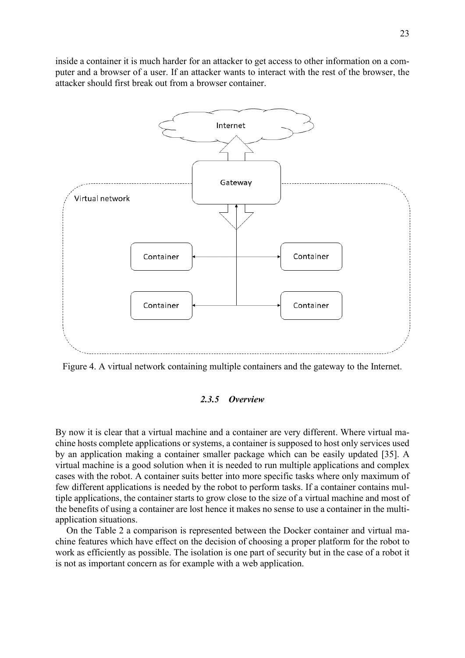inside a container it is much harder for an attacker to get access to other information on a computer and a browser of a user. If an attacker wants to interact with the rest of the browser, the attacker should first break out from a browser container.



<span id="page-22-1"></span><span id="page-22-0"></span>Figure 4. A virtual network containing multiple containers and the gateway to the Internet.

#### *2.3.5 Overview*

By now it is clear that a virtual machine and a container are very different. Where virtual machine hosts complete applications or systems, a container is supposed to host only services used by an application making a container smaller package which can be easily updated [35]. A virtual machine is a good solution when it is needed to run multiple applications and complex cases with the robot. A container suits better into more specific tasks where only maximum of few different applications is needed by the robot to perform tasks. If a container contains multiple applications, the container starts to grow close to the size of a virtual machine and most of the benefits of using a container are lost hence it makes no sense to use a container in the multiapplication situations.

On the [Table 2](#page-23-0) a comparison is represented between the Docker container and virtual machine features which have effect on the decision of choosing a proper platform for the robot to work as efficiently as possible. The isolation is one part of security but in the case of a robot it is not as important concern as for example with a web application.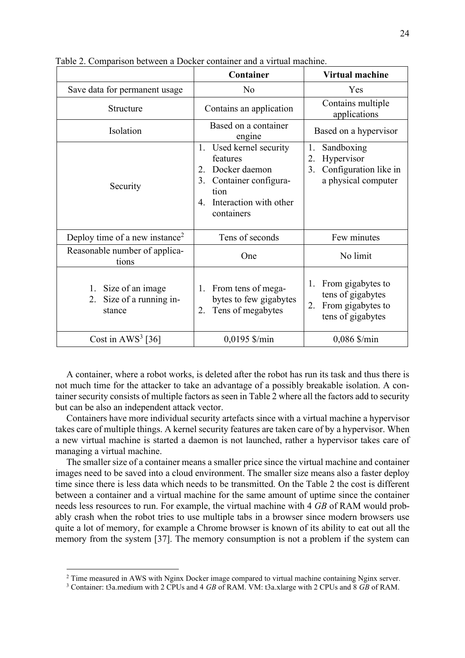|                                                              | Container                                                                                                                                         | <b>Virtual machine</b>                                                                       |
|--------------------------------------------------------------|---------------------------------------------------------------------------------------------------------------------------------------------------|----------------------------------------------------------------------------------------------|
| Save data for permanent usage                                | N <sub>o</sub>                                                                                                                                    | Yes                                                                                          |
| Structure                                                    | Contains an application                                                                                                                           | Contains multiple<br>applications                                                            |
| Isolation                                                    | Based on a container<br>engine                                                                                                                    | Based on a hypervisor                                                                        |
| Security                                                     | Used kernel security<br>1.<br>features<br>Docker daemon<br>2.<br>3.<br>Container configura-<br>tion<br>Interaction with other<br>4.<br>containers | Sandboxing<br>1.<br>Hypervisor<br>2.<br>Configuration like in<br>3.<br>a physical computer   |
| Deploy time of a new instance <sup>2</sup>                   | Tens of seconds                                                                                                                                   | Few minutes                                                                                  |
| Reasonable number of applica-<br>tions                       | One                                                                                                                                               | No limit                                                                                     |
| 1. Size of an image<br>Size of a running in-<br>2.<br>stance | 1. From tens of mega-<br>bytes to few gigabytes<br>Tens of megabytes<br>2.                                                                        | From gigabytes to<br>1.<br>tens of gigabytes<br>From gigabytes to<br>2.<br>tens of gigabytes |
| Cost in $AWS^3$ [36]                                         | $0,0195$ \$/min                                                                                                                                   | $0,086$ \$/min                                                                               |

<span id="page-23-0"></span>Table 2. Comparison between a Docker container and a virtual machine.

A container, where a robot works, is deleted after the robot has run its task and thus there is not much time for the attacker to take an advantage of a possibly breakable isolation. A container security consists of multiple factors as seen in [Table 2](#page-23-0) where all the factors add to security but can be also an independent attack vector.

Containers have more individual security artefacts since with a virtual machine a hypervisor takes care of multiple things. A kernel security features are taken care of by a hypervisor. When a new virtual machine is started a daemon is not launched, rather a hypervisor takes care of managing a virtual machine.

The smaller size of a container means a smaller price since the virtual machine and container images need to be saved into a cloud environment. The smaller size means also a faster deploy time since there is less data which needs to be transmitted. On the [Table 2](#page-23-0) the cost is different between a container and a virtual machine for the same amount of uptime since the container needs less resources to run. For example, the virtual machine with 4 *GB* of RAM would probably crash when the robot tries to use multiple tabs in a browser since modern browsers use quite a lot of memory, for example a Chrome browser is known of its ability to eat out all the memory from the system [37]. The memory consumption is not a problem if the system can

<sup>&</sup>lt;sup>2</sup> Time measured in AWS with Nginx Docker image compared to virtual machine containing Nginx server.

<sup>3</sup> Container: t3a.medium with 2 CPUs and 4 *GB* of RAM. VM: t3a.xlarge with 2 CPUs and 8 *GB* of RAM.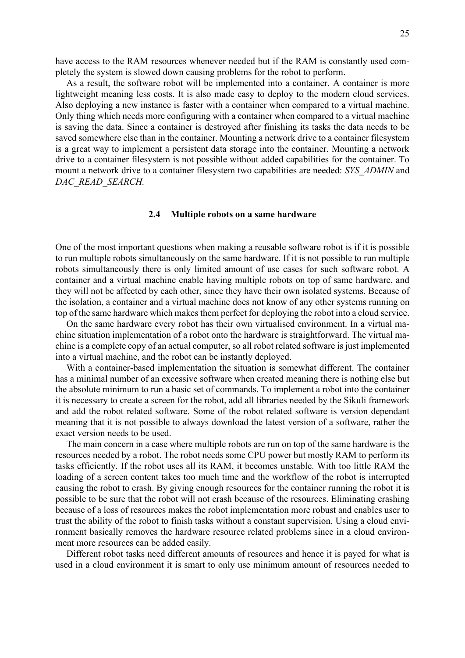have access to the RAM resources whenever needed but if the RAM is constantly used completely the system is slowed down causing problems for the robot to perform.

As a result, the software robot will be implemented into a container. A container is more lightweight meaning less costs. It is also made easy to deploy to the modern cloud services. Also deploying a new instance is faster with a container when compared to a virtual machine. Only thing which needs more configuring with a container when compared to a virtual machine is saving the data. Since a container is destroyed after finishing its tasks the data needs to be saved somewhere else than in the container. Mounting a network drive to a container filesystem is a great way to implement a persistent data storage into the container. Mounting a network drive to a container filesystem is not possible without added capabilities for the container. To mount a network drive to a container filesystem two capabilities are needed: *SYS\_ADMIN* and *DAC\_READ\_SEARCH.*

#### **2.4 Multiple robots on a same hardware**

<span id="page-24-0"></span>One of the most important questions when making a reusable software robot is if it is possible to run multiple robots simultaneously on the same hardware. If it is not possible to run multiple robots simultaneously there is only limited amount of use cases for such software robot. A container and a virtual machine enable having multiple robots on top of same hardware, and they will not be affected by each other, since they have their own isolated systems. Because of the isolation, a container and a virtual machine does not know of any other systems running on top of the same hardware which makes them perfect for deploying the robot into a cloud service.

On the same hardware every robot has their own virtualised environment. In a virtual machine situation implementation of a robot onto the hardware is straightforward. The virtual machine is a complete copy of an actual computer, so all robot related software is just implemented into a virtual machine, and the robot can be instantly deployed.

With a container-based implementation the situation is somewhat different. The container has a minimal number of an excessive software when created meaning there is nothing else but the absolute minimum to run a basic set of commands. To implement a robot into the container it is necessary to create a screen for the robot, add all libraries needed by the Sikuli framework and add the robot related software. Some of the robot related software is version dependant meaning that it is not possible to always download the latest version of a software, rather the exact version needs to be used.

The main concern in a case where multiple robots are run on top of the same hardware is the resources needed by a robot. The robot needs some CPU power but mostly RAM to perform its tasks efficiently. If the robot uses all its RAM, it becomes unstable. With too little RAM the loading of a screen content takes too much time and the workflow of the robot is interrupted causing the robot to crash. By giving enough resources for the container running the robot it is possible to be sure that the robot will not crash because of the resources. Eliminating crashing because of a loss of resources makes the robot implementation more robust and enables user to trust the ability of the robot to finish tasks without a constant supervision. Using a cloud environment basically removes the hardware resource related problems since in a cloud environment more resources can be added easily.

Different robot tasks need different amounts of resources and hence it is payed for what is used in a cloud environment it is smart to only use minimum amount of resources needed to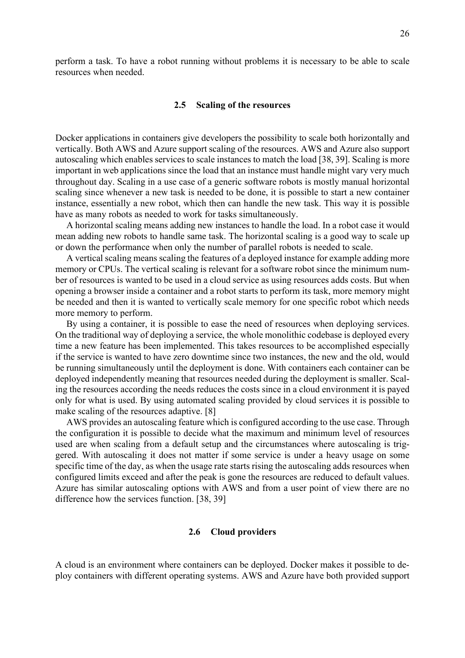perform a task. To have a robot running without problems it is necessary to be able to scale resources when needed.

#### **2.5 Scaling of the resources**

<span id="page-25-0"></span>Docker applications in containers give developers the possibility to scale both horizontally and vertically. Both AWS and Azure support scaling of the resources. AWS and Azure also support autoscaling which enables services to scale instances to match the load [38, 39]. Scaling is more important in web applications since the load that an instance must handle might vary very much throughout day. Scaling in a use case of a generic software robots is mostly manual horizontal scaling since whenever a new task is needed to be done, it is possible to start a new container instance, essentially a new robot, which then can handle the new task. This way it is possible have as many robots as needed to work for tasks simultaneously.

A horizontal scaling means adding new instances to handle the load. In a robot case it would mean adding new robots to handle same task. The horizontal scaling is a good way to scale up or down the performance when only the number of parallel robots is needed to scale.

A vertical scaling means scaling the features of a deployed instance for example adding more memory or CPUs. The vertical scaling is relevant for a software robot since the minimum number of resources is wanted to be used in a cloud service as using resources adds costs. But when opening a browser inside a container and a robot starts to perform its task, more memory might be needed and then it is wanted to vertically scale memory for one specific robot which needs more memory to perform.

By using a container, it is possible to ease the need of resources when deploying services. On the traditional way of deploying a service, the whole monolithic codebase is deployed every time a new feature has been implemented. This takes resources to be accomplished especially if the service is wanted to have zero downtime since two instances, the new and the old, would be running simultaneously until the deployment is done. With containers each container can be deployed independently meaning that resources needed during the deployment is smaller. Scaling the resources according the needs reduces the costs since in a cloud environment it is payed only for what is used. By using automated scaling provided by cloud services it is possible to make scaling of the resources adaptive. [8]

AWS provides an autoscaling feature which is configured according to the use case. Through the configuration it is possible to decide what the maximum and minimum level of resources used are when scaling from a default setup and the circumstances where autoscaling is triggered. With autoscaling it does not matter if some service is under a heavy usage on some specific time of the day, as when the usage rate starts rising the autoscaling adds resources when configured limits exceed and after the peak is gone the resources are reduced to default values. Azure has similar autoscaling options with AWS and from a user point of view there are no difference how the services function. [38, 39]

#### **2.6 Cloud providers**

<span id="page-25-1"></span>A cloud is an environment where containers can be deployed. Docker makes it possible to deploy containers with different operating systems. AWS and Azure have both provided support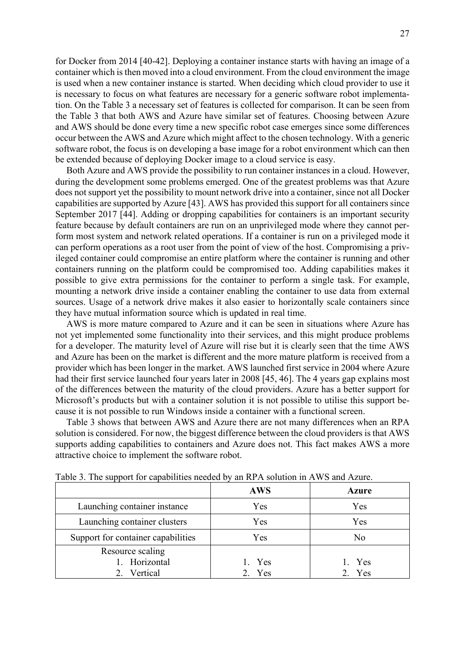for Docker from 2014 [40-42]. Deploying a container instance starts with having an image of a container which is then moved into a cloud environment. From the cloud environment the image is used when a new container instance is started. When deciding which cloud provider to use it is necessary to focus on what features are necessary for a generic software robot implementation. On the [Table 3](#page-26-0) a necessary set of features is collected for comparison. It can be seen from the [Table 3](#page-26-0) that both AWS and Azure have similar set of features. Choosing between Azure and AWS should be done every time a new specific robot case emerges since some differences occur between the AWS and Azure which might affect to the chosen technology. With a generic software robot, the focus is on developing a base image for a robot environment which can then be extended because of deploying Docker image to a cloud service is easy.

Both Azure and AWS provide the possibility to run container instances in a cloud. However, during the development some problems emerged. One of the greatest problems was that Azure does not support yet the possibility to mount network drive into a container, since not all Docker capabilities are supported by Azure [43]. AWS has provided this support for all containers since September 2017 [44]. Adding or dropping capabilities for containers is an important security feature because by default containers are run on an unprivileged mode where they cannot perform most system and network related operations. If a container is run on a privileged mode it can perform operations as a root user from the point of view of the host. Compromising a privileged container could compromise an entire platform where the container is running and other containers running on the platform could be compromised too. Adding capabilities makes it possible to give extra permissions for the container to perform a single task. For example, mounting a network drive inside a container enabling the container to use data from external sources. Usage of a network drive makes it also easier to horizontally scale containers since they have mutual information source which is updated in real time.

AWS is more mature compared to Azure and it can be seen in situations where Azure has not yet implemented some functionality into their services, and this might produce problems for a developer. The maturity level of Azure will rise but it is clearly seen that the time AWS and Azure has been on the market is different and the more mature platform is received from a provider which has been longer in the market. AWS launched first service in 2004 where Azure had their first service launched four years later in 2008 [45, 46]. The 4 years gap explains most of the differences between the maturity of the cloud providers. Azure has a better support for Microsoft's products but with a container solution it is not possible to utilise this support because it is not possible to run Windows inside a container with a functional screen.

[Table 3](#page-26-0) shows that between AWS and Azure there are not many differences when an RPA solution is considered. For now, the biggest difference between the cloud providers is that AWS supports adding capabilities to containers and Azure does not. This fact makes AWS a more attractive choice to implement the software robot.

|                                    | <b>AWS</b> | <b>Azure</b> |
|------------------------------------|------------|--------------|
| Launching container instance       | Yes        | Yes          |
| Launching container clusters       | Yes        | Yes          |
| Support for container capabilities | Yes        | No           |
| Resource scaling                   |            |              |
| 1. Horizontal                      | 1. Yes     | 1. Yes       |
| 2. Vertical                        | 2. Yes     | 2. Yes       |

<span id="page-26-0"></span>Table 3. The support for capabilities needed by an RPA solution in AWS and Azure.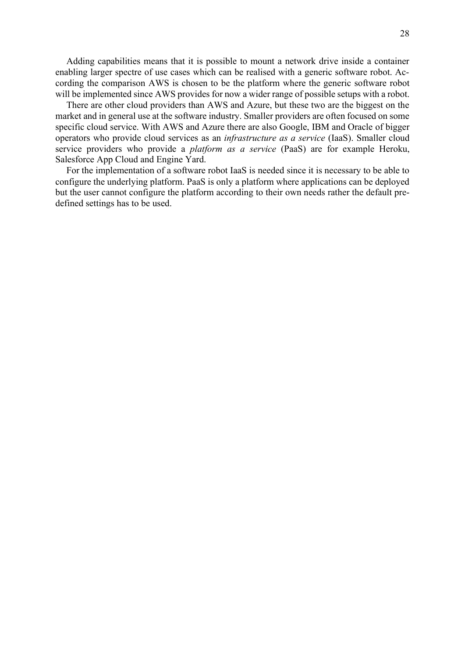Adding capabilities means that it is possible to mount a network drive inside a container enabling larger spectre of use cases which can be realised with a generic software robot. According the comparison AWS is chosen to be the platform where the generic software robot will be implemented since AWS provides for now a wider range of possible setups with a robot.

There are other cloud providers than AWS and Azure, but these two are the biggest on the market and in general use at the software industry. Smaller providers are often focused on some specific cloud service. With AWS and Azure there are also Google, IBM and Oracle of bigger operators who provide cloud services as an *infrastructure as a service* (IaaS). Smaller cloud service providers who provide a *platform as a service* (PaaS) are for example Heroku, Salesforce App Cloud and Engine Yard.

For the implementation of a software robot IaaS is needed since it is necessary to be able to configure the underlying platform. PaaS is only a platform where applications can be deployed but the user cannot configure the platform according to their own needs rather the default predefined settings has to be used.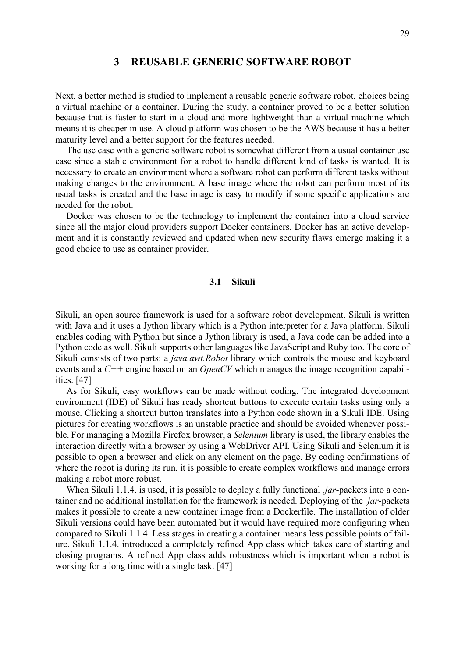# **3 REUSABLE GENERIC SOFTWARE ROBOT**

<span id="page-28-0"></span>Next, a better method is studied to implement a reusable generic software robot, choices being a virtual machine or a container. During the study, a container proved to be a better solution because that is faster to start in a cloud and more lightweight than a virtual machine which means it is cheaper in use. A cloud platform was chosen to be the AWS because it has a better maturity level and a better support for the features needed.

The use case with a generic software robot is somewhat different from a usual container use case since a stable environment for a robot to handle different kind of tasks is wanted. It is necessary to create an environment where a software robot can perform different tasks without making changes to the environment. A base image where the robot can perform most of its usual tasks is created and the base image is easy to modify if some specific applications are needed for the robot.

Docker was chosen to be the technology to implement the container into a cloud service since all the major cloud providers support Docker containers. Docker has an active development and it is constantly reviewed and updated when new security flaws emerge making it a good choice to use as container provider.

# **3.1 Sikuli**

<span id="page-28-1"></span>Sikuli, an open source framework is used for a software robot development. Sikuli is written with Java and it uses a Jython library which is a Python interpreter for a Java platform. Sikuli enables coding with Python but since a Jython library is used, a Java code can be added into a Python code as well. Sikuli supports other languages like JavaScript and Ruby too. The core of Sikuli consists of two parts: a *java.awt.Robot* library which controls the mouse and keyboard events and a *C++* engine based on an *OpenCV* which manages the image recognition capabilities. [47]

As for Sikuli, easy workflows can be made without coding. The integrated development environment (IDE) of Sikuli has ready shortcut buttons to execute certain tasks using only a mouse. Clicking a shortcut button translates into a Python code shown in a Sikuli IDE. Using pictures for creating workflows is an unstable practice and should be avoided whenever possible. For managing a Mozilla Firefox browser, a *Selenium* library is used, the library enables the interaction directly with a browser by using a WebDriver API. Using Sikuli and Selenium it is possible to open a browser and click on any element on the page. By coding confirmations of where the robot is during its run, it is possible to create complex workflows and manage errors making a robot more robust.

When Sikuli 1.1.4. is used, it is possible to deploy a fully functional *.jar*-packets into a container and no additional installation for the framework is needed. Deploying of the *.jar*-packets makes it possible to create a new container image from a Dockerfile. The installation of older Sikuli versions could have been automated but it would have required more configuring when compared to Sikuli 1.1.4. Less stages in creating a container means less possible points of failure. Sikuli 1.1.4. introduced a completely refined App class which takes care of starting and closing programs. A refined App class adds robustness which is important when a robot is working for a long time with a single task. [47]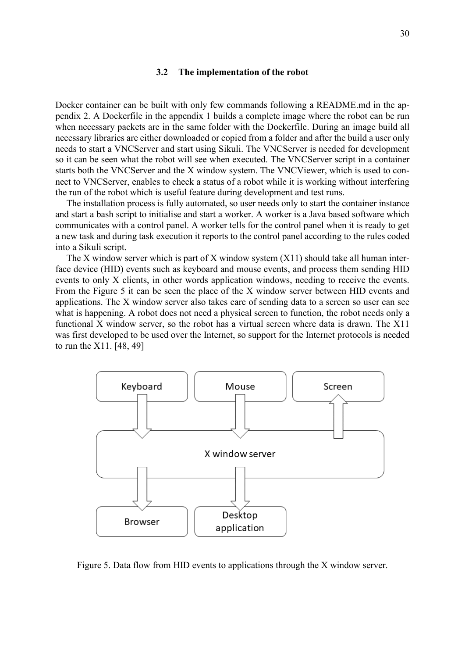#### **3.2 The implementation of the robot**

<span id="page-29-0"></span>Docker container can be built with only few commands following a README.md in the appendix 2. A Dockerfile in the appendix 1 builds a complete image where the robot can be run when necessary packets are in the same folder with the Dockerfile. During an image build all necessary libraries are either downloaded or copied from a folder and after the build a user only needs to start a VNCServer and start using Sikuli. The VNCServer is needed for development so it can be seen what the robot will see when executed. The VNCServer script in a container starts both the VNCServer and the X window system. The VNCViewer, which is used to connect to VNCServer, enables to check a status of a robot while it is working without interfering the run of the robot which is useful feature during development and test runs.

The installation process is fully automated, so user needs only to start the container instance and start a bash script to initialise and start a worker. A worker is a Java based software which communicates with a control panel. A worker tells for the control panel when it is ready to get a new task and during task execution it reports to the control panel according to the rules coded into a Sikuli script.

The X window server which is part of X window system  $(X11)$  should take all human interface device (HID) events such as keyboard and mouse events, and process them sending HID events to only X clients, in other words application windows, needing to receive the events. From the [Figure 5](#page-29-1) it can be seen the place of the X window server between HID events and applications. The X window server also takes care of sending data to a screen so user can see what is happening. A robot does not need a physical screen to function, the robot needs only a functional X window server, so the robot has a virtual screen where data is drawn. The X11 was first developed to be used over the Internet, so support for the Internet protocols is needed to run the X11. [48, 49]



<span id="page-29-1"></span>Figure 5. Data flow from HID events to applications through the X window server.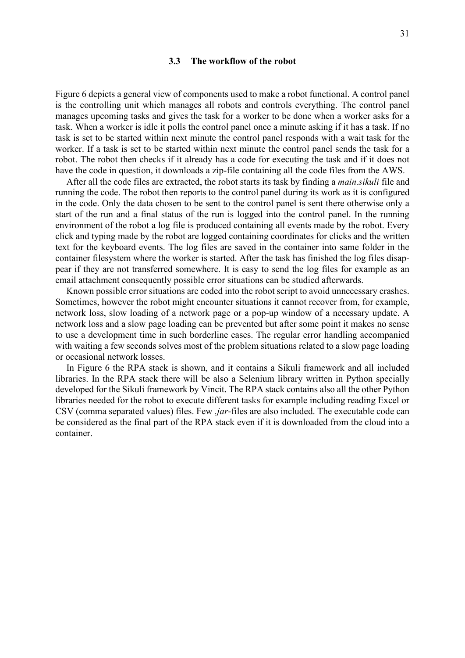#### **3.3 The workflow of the robot**

<span id="page-30-0"></span>[Figure 6](#page-31-1) depicts a general view of components used to make a robot functional. A control panel is the controlling unit which manages all robots and controls everything. The control panel manages upcoming tasks and gives the task for a worker to be done when a worker asks for a task. When a worker is idle it polls the control panel once a minute asking if it has a task. If no task is set to be started within next minute the control panel responds with a wait task for the worker. If a task is set to be started within next minute the control panel sends the task for a robot. The robot then checks if it already has a code for executing the task and if it does not have the code in question, it downloads a zip-file containing all the code files from the AWS.

After all the code files are extracted, the robot starts its task by finding a *main.sikuli* file and running the code. The robot then reports to the control panel during its work as it is configured in the code. Only the data chosen to be sent to the control panel is sent there otherwise only a start of the run and a final status of the run is logged into the control panel. In the running environment of the robot a log file is produced containing all events made by the robot. Every click and typing made by the robot are logged containing coordinates for clicks and the written text for the keyboard events. The log files are saved in the container into same folder in the container filesystem where the worker is started. After the task has finished the log files disappear if they are not transferred somewhere. It is easy to send the log files for example as an email attachment consequently possible error situations can be studied afterwards.

Known possible error situations are coded into the robot script to avoid unnecessary crashes. Sometimes, however the robot might encounter situations it cannot recover from, for example, network loss, slow loading of a network page or a pop-up window of a necessary update. A network loss and a slow page loading can be prevented but after some point it makes no sense to use a development time in such borderline cases. The regular error handling accompanied with waiting a few seconds solves most of the problem situations related to a slow page loading or occasional network losses.

In [Figure 6](#page-31-1) the RPA stack is shown, and it contains a Sikuli framework and all included libraries. In the RPA stack there will be also a Selenium library written in Python specially developed for the Sikuli framework by Vincit. The RPA stack contains also all the other Python libraries needed for the robot to execute different tasks for example including reading Excel or CSV (comma separated values) files. Few *.jar*-files are also included. The executable code can be considered as the final part of the RPA stack even if it is downloaded from the cloud into a container.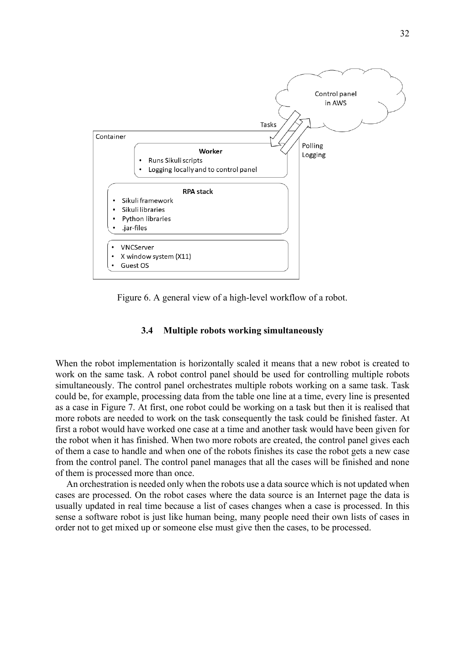

<span id="page-31-1"></span>Figure 6. A general view of a high-level workflow of a robot.

# **3.4 Multiple robots working simultaneously**

<span id="page-31-0"></span>When the robot implementation is horizontally scaled it means that a new robot is created to work on the same task. A robot control panel should be used for controlling multiple robots simultaneously. The control panel orchestrates multiple robots working on a same task. Task could be, for example, processing data from the table one line at a time, every line is presented as a case in [Figure 7.](#page-32-1) At first, one robot could be working on a task but then it is realised that more robots are needed to work on the task consequently the task could be finished faster. At first a robot would have worked one case at a time and another task would have been given for the robot when it has finished. When two more robots are created, the control panel gives each of them a case to handle and when one of the robots finishes its case the robot gets a new case from the control panel. The control panel manages that all the cases will be finished and none of them is processed more than once.

An orchestration is needed only when the robots use a data source which is not updated when cases are processed. On the robot cases where the data source is an Internet page the data is usually updated in real time because a list of cases changes when a case is processed. In this sense a software robot is just like human being, many people need their own lists of cases in order not to get mixed up or someone else must give then the cases, to be processed.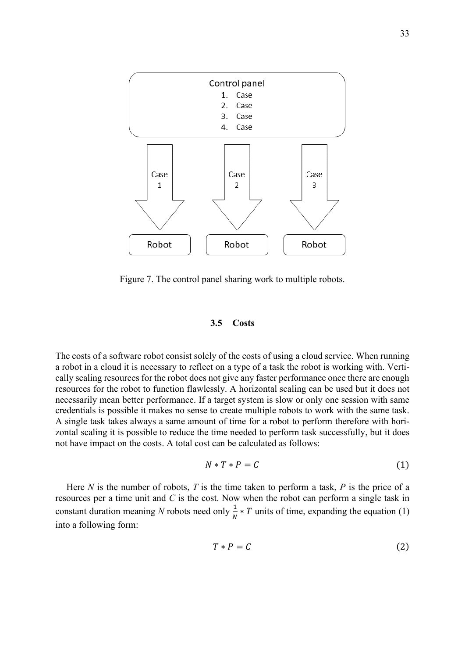

<span id="page-32-1"></span>Figure 7. The control panel sharing work to multiple robots.

#### **3.5 Costs**

<span id="page-32-0"></span>The costs of a software robot consist solely of the costs of using a cloud service. When running a robot in a cloud it is necessary to reflect on a type of a task the robot is working with. Vertically scaling resources for the robot does not give any faster performance once there are enough resources for the robot to function flawlessly. A horizontal scaling can be used but it does not necessarily mean better performance. If a target system is slow or only one session with same credentials is possible it makes no sense to create multiple robots to work with the same task. A single task takes always a same amount of time for a robot to perform therefore with horizontal scaling it is possible to reduce the time needed to perform task successfully, but it does not have impact on the costs. A total cost can be calculated as follows:

$$
N * T * P = C \tag{1}
$$

Here *N* is the number of robots, *T* is the time taken to perform a task, *P* is the price of a resources per a time unit and *C* is the cost. Now when the robot can perform a single task in constant duration meaning *N* robots need only  $\frac{1}{N} * T$  units of time, expanding the equation (1) into a following form:

$$
T * P = C \tag{2}
$$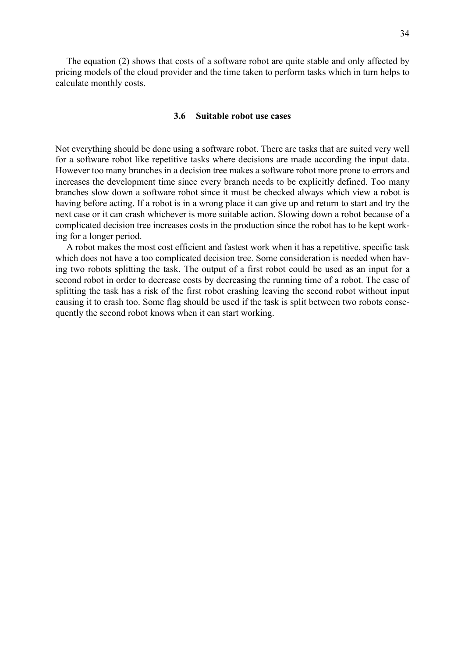The equation (2) shows that costs of a software robot are quite stable and only affected by pricing models of the cloud provider and the time taken to perform tasks which in turn helps to calculate monthly costs.

#### **3.6 Suitable robot use cases**

<span id="page-33-0"></span>Not everything should be done using a software robot. There are tasks that are suited very well for a software robot like repetitive tasks where decisions are made according the input data. However too many branches in a decision tree makes a software robot more prone to errors and increases the development time since every branch needs to be explicitly defined. Too many branches slow down a software robot since it must be checked always which view a robot is having before acting. If a robot is in a wrong place it can give up and return to start and try the next case or it can crash whichever is more suitable action. Slowing down a robot because of a complicated decision tree increases costs in the production since the robot has to be kept working for a longer period.

A robot makes the most cost efficient and fastest work when it has a repetitive, specific task which does not have a too complicated decision tree. Some consideration is needed when having two robots splitting the task. The output of a first robot could be used as an input for a second robot in order to decrease costs by decreasing the running time of a robot. The case of splitting the task has a risk of the first robot crashing leaving the second robot without input causing it to crash too. Some flag should be used if the task is split between two robots consequently the second robot knows when it can start working.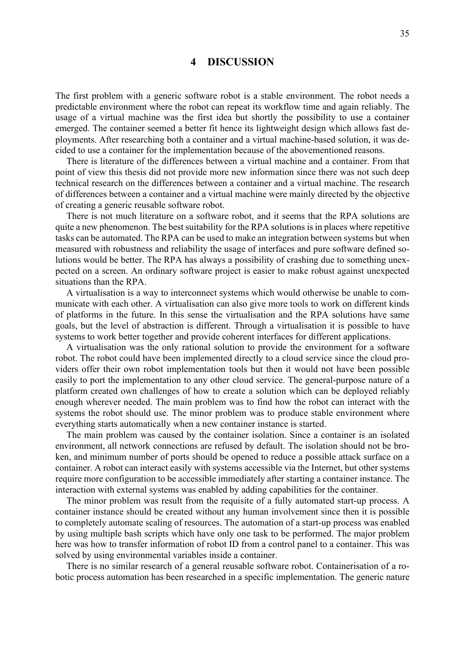# **4 DISCUSSION**

<span id="page-34-0"></span>The first problem with a generic software robot is a stable environment. The robot needs a predictable environment where the robot can repeat its workflow time and again reliably. The usage of a virtual machine was the first idea but shortly the possibility to use a container emerged. The container seemed a better fit hence its lightweight design which allows fast deployments. After researching both a container and a virtual machine-based solution, it was decided to use a container for the implementation because of the abovementioned reasons.

There is literature of the differences between a virtual machine and a container. From that point of view this thesis did not provide more new information since there was not such deep technical research on the differences between a container and a virtual machine. The research of differences between a container and a virtual machine were mainly directed by the objective of creating a generic reusable software robot.

There is not much literature on a software robot, and it seems that the RPA solutions are quite a new phenomenon. The best suitability for the RPA solutions is in places where repetitive tasks can be automated. The RPA can be used to make an integration between systems but when measured with robustness and reliability the usage of interfaces and pure software defined solutions would be better. The RPA has always a possibility of crashing due to something unexpected on a screen. An ordinary software project is easier to make robust against unexpected situations than the RPA.

A virtualisation is a way to interconnect systems which would otherwise be unable to communicate with each other. A virtualisation can also give more tools to work on different kinds of platforms in the future. In this sense the virtualisation and the RPA solutions have same goals, but the level of abstraction is different. Through a virtualisation it is possible to have systems to work better together and provide coherent interfaces for different applications.

A virtualisation was the only rational solution to provide the environment for a software robot. The robot could have been implemented directly to a cloud service since the cloud providers offer their own robot implementation tools but then it would not have been possible easily to port the implementation to any other cloud service. The general-purpose nature of a platform created own challenges of how to create a solution which can be deployed reliably enough wherever needed. The main problem was to find how the robot can interact with the systems the robot should use. The minor problem was to produce stable environment where everything starts automatically when a new container instance is started.

The main problem was caused by the container isolation. Since a container is an isolated environment, all network connections are refused by default. The isolation should not be broken, and minimum number of ports should be opened to reduce a possible attack surface on a container. A robot can interact easily with systems accessible via the Internet, but other systems require more configuration to be accessible immediately after starting a container instance. The interaction with external systems was enabled by adding capabilities for the container.

The minor problem was result from the requisite of a fully automated start-up process. A container instance should be created without any human involvement since then it is possible to completely automate scaling of resources. The automation of a start-up process was enabled by using multiple bash scripts which have only one task to be performed. The major problem here was how to transfer information of robot ID from a control panel to a container. This was solved by using environmental variables inside a container.

There is no similar research of a general reusable software robot. Containerisation of a robotic process automation has been researched in a specific implementation. The generic nature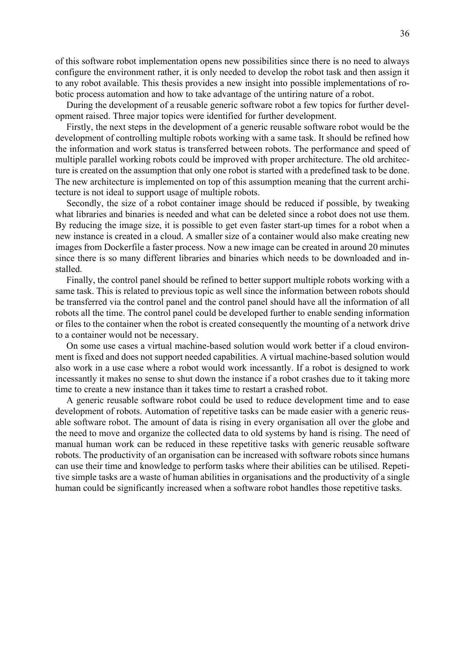of this software robot implementation opens new possibilities since there is no need to always configure the environment rather, it is only needed to develop the robot task and then assign it to any robot available. This thesis provides a new insight into possible implementations of robotic process automation and how to take advantage of the untiring nature of a robot.

During the development of a reusable generic software robot a few topics for further development raised. Three major topics were identified for further development.

Firstly, the next steps in the development of a generic reusable software robot would be the development of controlling multiple robots working with a same task. It should be refined how the information and work status is transferred between robots. The performance and speed of multiple parallel working robots could be improved with proper architecture. The old architecture is created on the assumption that only one robot is started with a predefined task to be done. The new architecture is implemented on top of this assumption meaning that the current architecture is not ideal to support usage of multiple robots.

Secondly, the size of a robot container image should be reduced if possible, by tweaking what libraries and binaries is needed and what can be deleted since a robot does not use them. By reducing the image size, it is possible to get even faster start-up times for a robot when a new instance is created in a cloud. A smaller size of a container would also make creating new images from Dockerfile a faster process. Now a new image can be created in around 20 minutes since there is so many different libraries and binaries which needs to be downloaded and installed.

Finally, the control panel should be refined to better support multiple robots working with a same task. This is related to previous topic as well since the information between robots should be transferred via the control panel and the control panel should have all the information of all robots all the time. The control panel could be developed further to enable sending information or files to the container when the robot is created consequently the mounting of a network drive to a container would not be necessary.

On some use cases a virtual machine-based solution would work better if a cloud environment is fixed and does not support needed capabilities. A virtual machine-based solution would also work in a use case where a robot would work incessantly. If a robot is designed to work incessantly it makes no sense to shut down the instance if a robot crashes due to it taking more time to create a new instance than it takes time to restart a crashed robot.

A generic reusable software robot could be used to reduce development time and to ease development of robots. Automation of repetitive tasks can be made easier with a generic reusable software robot. The amount of data is rising in every organisation all over the globe and the need to move and organize the collected data to old systems by hand is rising. The need of manual human work can be reduced in these repetitive tasks with generic reusable software robots. The productivity of an organisation can be increased with software robots since humans can use their time and knowledge to perform tasks where their abilities can be utilised. Repetitive simple tasks are a waste of human abilities in organisations and the productivity of a single human could be significantly increased when a software robot handles those repetitive tasks.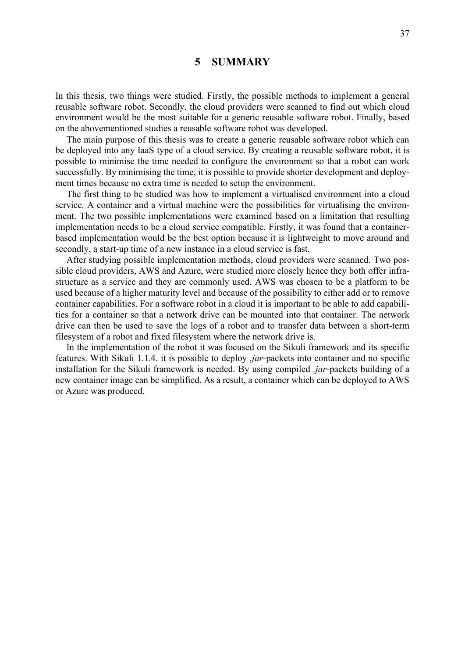# **5 SUMMARY**

<span id="page-36-0"></span>In this thesis, two things were studied. Firstly, the possible methods to implement a general reusable software robot. Secondly, the cloud providers were scanned to find out which cloud environment would be the most suitable for a generic reusable software robot. Finally, based on the abovementioned studies a reusable software robot was developed.

The main purpose of this thesis was to create a generic reusable software robot which can be deployed into any IaaS type of a cloud service. By creating a reusable software robot, it is possible to minimise the time needed to configure the environment so that a robot can work successfully. By minimising the time, it is possible to provide shorter development and deployment times because no extra time is needed to setup the environment.

The first thing to be studied was how to implement a virtualised environment into a cloud service. A container and a virtual machine were the possibilities for virtualising the environment. The two possible implementations were examined based on a limitation that resulting implementation needs to be a cloud service compatible. Firstly, it was found that a containerbased implementation would be the best option because it is lightweight to move around and secondly, a start-up time of a new instance in a cloud service is fast.

After studying possible implementation methods, cloud providers were scanned. Two possible cloud providers, AWS and Azure, were studied more closely hence they both offer infrastructure as a service and they are commonly used. AWS was chosen to be a platform to be used because of a higher maturity level and because of the possibility to either add or to remove container capabilities. For a software robot in a cloud it is important to be able to add capabilities for a container so that a network drive can be mounted into that container. The network drive can then be used to save the logs of a robot and to transfer data between a short-term filesystem of a robot and fixed filesystem where the network drive is.

In the implementation of the robot it was focused on the Sikuli framework and its specific features. With Sikuli 1.1.4. it is possible to deploy *.jar*-packets into container and no specific installation for the Sikuli framework is needed. By using compiled *.jar*-packets building of a new container image can be simplified. As a result, a container which can be deployed to AWS or Azure was produced.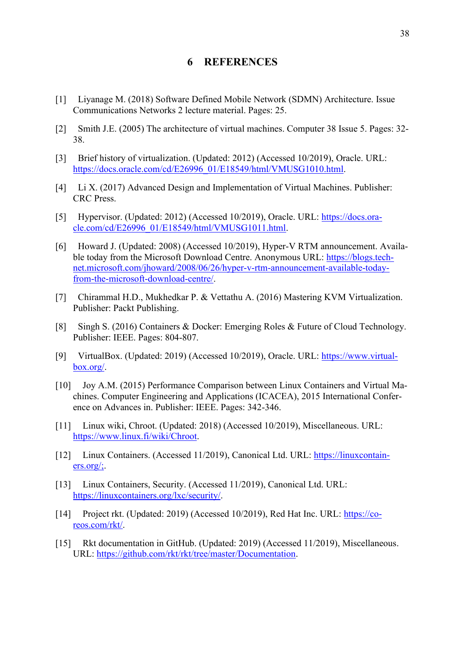# **6 REFERENCES**

- <span id="page-37-0"></span>[1] Liyanage M. (2018) Software Defined Mobile Network (SDMN) Architecture. Issue Communications Networks 2 lecture material. Pages: 25.
- [2] Smith J.E. (2005) The architecture of virtual machines. Computer 38 Issue 5. Pages: 32- 38.
- [3] Brief history of virtualization. (Updated: 2012) (Accessed 10/2019), Oracle. URL: [https://docs.oracle.com/cd/E26996\\_01/E18549/html/VMUSG1010.html.](https://docs.oracle.com/cd/E26996_01/E18549/html/VMUSG1010.html)
- [4] Li X. (2017) Advanced Design and Implementation of Virtual Machines. Publisher: CRC Press.
- [5] Hypervisor. (Updated: 2012) (Accessed 10/2019), Oracle. URL: [https://docs.ora](https://docs.oracle.com/cd/E26996_01/E18549/html/VMUSG1011.html)[cle.com/cd/E26996\\_01/E18549/html/VMUSG1011.html.](https://docs.oracle.com/cd/E26996_01/E18549/html/VMUSG1011.html)
- [6] Howard J. (Updated: 2008) (Accessed 10/2019), Hyper-V RTM announcement. Available today from the Microsoft Download Centre. Anonymous URL: [https://blogs.tech](https://blogs.technet.microsoft.com/jhoward/2008/06/26/hyper-v-rtm-announcement-available-today-from-the-microsoft-download-centre/)[net.microsoft.com/jhoward/2008/06/26/hyper-v-rtm-announcement-available-today](https://blogs.technet.microsoft.com/jhoward/2008/06/26/hyper-v-rtm-announcement-available-today-from-the-microsoft-download-centre/)[from-the-microsoft-download-centre/.](https://blogs.technet.microsoft.com/jhoward/2008/06/26/hyper-v-rtm-announcement-available-today-from-the-microsoft-download-centre/)
- [7] Chirammal H.D., Mukhedkar P. & Vettathu A. (2016) Mastering KVM Virtualization. Publisher: Packt Publishing.
- [8] Singh S. (2016) Containers & Docker: Emerging Roles & Future of Cloud Technology. Publisher: IEEE. Pages: 804-807.
- [9] VirtualBox. (Updated: 2019) (Accessed 10/2019), Oracle. URL: [https://www.virtual](https://www.virtualbox.org/)[box.org/.](https://www.virtualbox.org/)
- [10] Joy A.M. (2015) Performance Comparison between Linux Containers and Virtual Machines. Computer Engineering and Applications (ICACEA), 2015 International Conference on Advances in. Publisher: IEEE. Pages: 342-346.
- [11] Linux wiki, Chroot. (Updated: 2018) (Accessed 10/2019), Miscellaneous. URL: [https://www.linux.fi/wiki/Chroot.](https://www.linux.fi/wiki/Chroot)
- [12] Linux Containers. (Accessed 11/2019), Canonical Ltd. URL: [https://linuxcontain](https://linuxcontainers.org/;)[ers.org/;.](https://linuxcontainers.org/;)
- [13] Linux Containers, Security. (Accessed 11/2019), Canonical Ltd. URL: [https://linuxcontainers.org/lxc/security/.](https://linuxcontainers.org/lxc/security/)
- [14] Project rkt. (Updated: 2019) (Accessed 10/2019), Red Hat Inc. URL: [https://co](https://coreos.com/rkt/)[reos.com/rkt/.](https://coreos.com/rkt/)
- [15] Rkt documentation in GitHub. (Updated: 2019) (Accessed 11/2019), Miscellaneous. URL: [https://github.com/rkt/rkt/tree/master/Documentation.](https://github.com/rkt/rkt/tree/master/Documentation)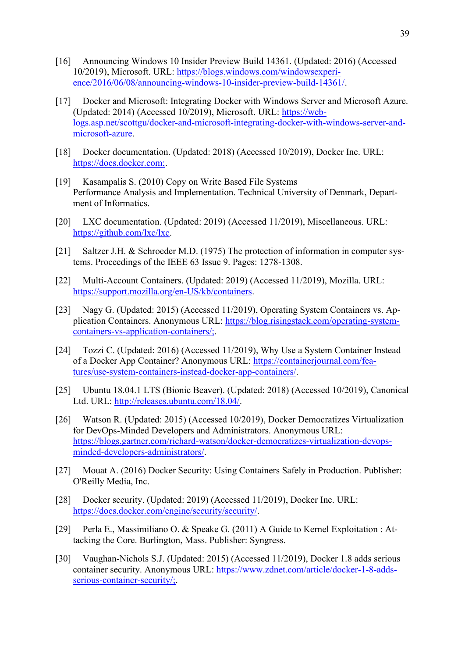- [16] Announcing Windows 10 Insider Preview Build 14361. (Updated: 2016) (Accessed 10/2019), Microsoft. URL: [https://blogs.windows.com/windowsexperi](https://blogs.windows.com/windowsexperience/2016/06/08/announcing-windows-10-insider-preview-build-14361/)[ence/2016/06/08/announcing-windows-10-insider-preview-build-14361/.](https://blogs.windows.com/windowsexperience/2016/06/08/announcing-windows-10-insider-preview-build-14361/)
- [17] Docker and Microsoft: Integrating Docker with Windows Server and Microsoft Azure. (Updated: 2014) (Accessed 10/2019), Microsoft. URL: [https://web](https://weblogs.asp.net/scottgu/docker-and-microsoft-integrating-docker-with-windows-server-and-microsoft-azure)[logs.asp.net/scottgu/docker-and-microsoft-integrating-docker-with-windows-server-and](https://weblogs.asp.net/scottgu/docker-and-microsoft-integrating-docker-with-windows-server-and-microsoft-azure)[microsoft-azure.](https://weblogs.asp.net/scottgu/docker-and-microsoft-integrating-docker-with-windows-server-and-microsoft-azure)
- [18] Docker documentation. (Updated: 2018) (Accessed 10/2019), Docker Inc. URL: [https://docs.docker.com;.](https://docs.docker.com;/)
- [19] Kasampalis S. (2010) Copy on Write Based File Systems Performance Analysis and Implementation. Technical University of Denmark, Department of Informatics.
- [20] LXC documentation. (Updated: 2019) (Accessed 11/2019), Miscellaneous. URL: [https://github.com/lxc/lxc.](https://github.com/lxc/lxc)
- [21] Saltzer J.H. & Schroeder M.D. (1975) The protection of information in computer systems. Proceedings of the IEEE 63 Issue 9. Pages: 1278-1308.
- [22] Multi-Account Containers. (Updated: 2019) (Accessed 11/2019), Mozilla. URL: [https://support.mozilla.org/en-US/kb/containers.](https://support.mozilla.org/en-US/kb/containers)
- [23] Nagy G. (Updated: 2015) (Accessed 11/2019), Operating System Containers vs. Application Containers. Anonymous URL: [https://blog.risingstack.com/operating-system](https://blog.risingstack.com/operating-system-containers-vs-application-containers/;)[containers-vs-application-containers/;.](https://blog.risingstack.com/operating-system-containers-vs-application-containers/;)
- [24] Tozzi C. (Updated: 2016) (Accessed 11/2019), Why Use a System Container Instead of a Docker App Container? Anonymous URL: [https://containerjournal.com/fea](https://containerjournal.com/features/use-system-containers-instead-docker-app-containers/)[tures/use-system-containers-instead-docker-app-containers/.](https://containerjournal.com/features/use-system-containers-instead-docker-app-containers/)
- [25] Ubuntu 18.04.1 LTS (Bionic Beaver). (Updated: 2018) (Accessed 10/2019), Canonical Ltd. URL: [http://releases.ubuntu.com/18.04/.](http://releases.ubuntu.com/18.04/)
- [26] Watson R. (Updated: 2015) (Accessed 10/2019), Docker Democratizes Virtualization for DevOps-Minded Developers and Administrators. Anonymous URL: [https://blogs.gartner.com/richard-watson/docker-democratizes-virtualization-devops](https://blogs.gartner.com/richard-watson/docker-democratizes-virtualization-devops-minded-developers-administrators/)[minded-developers-administrators/.](https://blogs.gartner.com/richard-watson/docker-democratizes-virtualization-devops-minded-developers-administrators/)
- [27] Mouat A. (2016) Docker Security: Using Containers Safely in Production. Publisher: O'Reilly Media, Inc.
- [28] Docker security. (Updated: 2019) (Accessed 11/2019), Docker Inc. URL: [https://docs.docker.com/engine/security/security/.](https://docs.docker.com/engine/security/security/)
- [29] Perla E., Massimiliano O. & Speake G. (2011) A Guide to Kernel Exploitation : Attacking the Core. Burlington, Mass. Publisher: Syngress.
- [30] Vaughan-Nichols S.J. (Updated: 2015) (Accessed 11/2019), Docker 1.8 adds serious container security. Anonymous URL: [https://www.zdnet.com/article/docker-1-8-adds](https://www.zdnet.com/article/docker-1-8-adds-serious-container-security/;)[serious-container-security/;.](https://www.zdnet.com/article/docker-1-8-adds-serious-container-security/;)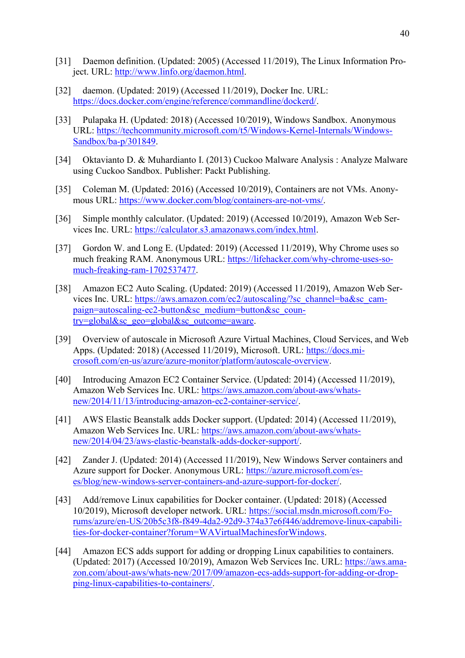- [31] Daemon definition. (Updated: 2005) (Accessed 11/2019), The Linux Information Project. URL: [http://www.linfo.org/daemon.html.](http://www.linfo.org/daemon.html)
- [32] daemon. (Updated: 2019) (Accessed 11/2019), Docker Inc. URL: [https://docs.docker.com/engine/reference/commandline/dockerd/.](https://docs.docker.com/engine/reference/commandline/dockerd/)
- [33] Pulapaka H. (Updated: 2018) (Accessed 10/2019), Windows Sandbox. Anonymous URL: [https://techcommunity.microsoft.com/t5/Windows-Kernel-Internals/Windows-](https://techcommunity.microsoft.com/t5/Windows-Kernel-Internals/Windows-Sandbox/ba-p/301849)[Sandbox/ba-p/301849.](https://techcommunity.microsoft.com/t5/Windows-Kernel-Internals/Windows-Sandbox/ba-p/301849)
- [34] Oktavianto D. & Muhardianto I. (2013) Cuckoo Malware Analysis : Analyze Malware using Cuckoo Sandbox. Publisher: Packt Publishing.
- [35] Coleman M. (Updated: 2016) (Accessed 10/2019), Containers are not VMs. Anonymous URL: [https://www.docker.com/blog/containers-are-not-vms/.](https://www.docker.com/blog/containers-are-not-vms/)
- [36] Simple monthly calculator. (Updated: 2019) (Accessed 10/2019), Amazon Web Services Inc. URL: [https://calculator.s3.amazonaws.com/index.html.](https://calculator.s3.amazonaws.com/index.html)
- [37] Gordon W. and Long E. (Updated: 2019) (Accessed 11/2019), Why Chrome uses so much freaking RAM. Anonymous URL: [https://lifehacker.com/why-chrome-uses-so](https://lifehacker.com/why-chrome-uses-so-much-freaking-ram-1702537477)[much-freaking-ram-1702537477.](https://lifehacker.com/why-chrome-uses-so-much-freaking-ram-1702537477)
- [38] Amazon EC2 Auto Scaling. (Updated: 2019) (Accessed 11/2019), Amazon Web Services Inc. URL: [https://aws.amazon.com/ec2/autoscaling/?sc\\_channel=ba&sc\\_cam](https://aws.amazon.com/ec2/autoscaling/?sc_channel=ba&sc_campaign=autoscaling-ec2-button&sc_medium=button&sc_country=global&sc_geo=global&sc_outcome=aware)[paign=autoscaling-ec2-button&sc\\_medium=button&sc\\_coun](https://aws.amazon.com/ec2/autoscaling/?sc_channel=ba&sc_campaign=autoscaling-ec2-button&sc_medium=button&sc_country=global&sc_geo=global&sc_outcome=aware)[try=global&sc\\_geo=global&sc\\_outcome=aware.](https://aws.amazon.com/ec2/autoscaling/?sc_channel=ba&sc_campaign=autoscaling-ec2-button&sc_medium=button&sc_country=global&sc_geo=global&sc_outcome=aware)
- [39] Overview of autoscale in Microsoft Azure Virtual Machines, Cloud Services, and Web Apps. (Updated: 2018) (Accessed 11/2019), Microsoft. URL: [https://docs.mi](https://docs.microsoft.com/en-us/azure/azure-monitor/platform/autoscale-overview)[crosoft.com/en-us/azure/azure-monitor/platform/autoscale-overview.](https://docs.microsoft.com/en-us/azure/azure-monitor/platform/autoscale-overview)
- [40] Introducing Amazon EC2 Container Service. (Updated: 2014) (Accessed 11/2019), Amazon Web Services Inc. URL: [https://aws.amazon.com/about-aws/whats](https://aws.amazon.com/about-aws/whats-new/2014/11/13/introducing-amazon-ec2-container-service/)[new/2014/11/13/introducing-amazon-ec2-container-service/.](https://aws.amazon.com/about-aws/whats-new/2014/11/13/introducing-amazon-ec2-container-service/)
- [41] AWS Elastic Beanstalk adds Docker support. (Updated: 2014) (Accessed 11/2019), Amazon Web Services Inc. URL: [https://aws.amazon.com/about-aws/whats](https://aws.amazon.com/about-aws/whats-new/2014/04/23/aws-elastic-beanstalk-adds-docker-support/)[new/2014/04/23/aws-elastic-beanstalk-adds-docker-support/.](https://aws.amazon.com/about-aws/whats-new/2014/04/23/aws-elastic-beanstalk-adds-docker-support/)
- [42] Zander J. (Updated: 2014) (Accessed 11/2019), New Windows Server containers and Azure support for Docker. Anonymous URL: [https://azure.microsoft.com/es](https://azure.microsoft.com/es-es/blog/new-windows-server-containers-and-azure-support-for-docker/)[es/blog/new-windows-server-containers-and-azure-support-for-docker/.](https://azure.microsoft.com/es-es/blog/new-windows-server-containers-and-azure-support-for-docker/)
- [43] Add/remove Linux capabilities for Docker container. (Updated: 2018) (Accessed 10/2019), Microsoft developer network. URL: [https://social.msdn.microsoft.com/Fo](https://social.msdn.microsoft.com/Forums/azure/en-US/20b5c3f8-f849-4da2-92d9-374a37e6f446/addremove-linux-capabilities-for-docker-container?forum=WAVirtualMachinesforWindows)[rums/azure/en-US/20b5c3f8-f849-4da2-92d9-374a37e6f446/addremove-linux-capabili](https://social.msdn.microsoft.com/Forums/azure/en-US/20b5c3f8-f849-4da2-92d9-374a37e6f446/addremove-linux-capabilities-for-docker-container?forum=WAVirtualMachinesforWindows)[ties-for-docker-container?forum=WAVirtualMachinesforWindows.](https://social.msdn.microsoft.com/Forums/azure/en-US/20b5c3f8-f849-4da2-92d9-374a37e6f446/addremove-linux-capabilities-for-docker-container?forum=WAVirtualMachinesforWindows)
- [44] Amazon ECS adds support for adding or dropping Linux capabilities to containers. (Updated: 2017) (Accessed 10/2019), Amazon Web Services Inc. URL: [https://aws.ama](https://aws.amazon.com/about-aws/whats-new/2017/09/amazon-ecs-adds-support-for-adding-or-dropping-linux-capabilities-to-containers/)[zon.com/about-aws/whats-new/2017/09/amazon-ecs-adds-support-for-adding-or-drop](https://aws.amazon.com/about-aws/whats-new/2017/09/amazon-ecs-adds-support-for-adding-or-dropping-linux-capabilities-to-containers/)[ping-linux-capabilities-to-containers/.](https://aws.amazon.com/about-aws/whats-new/2017/09/amazon-ecs-adds-support-for-adding-or-dropping-linux-capabilities-to-containers/)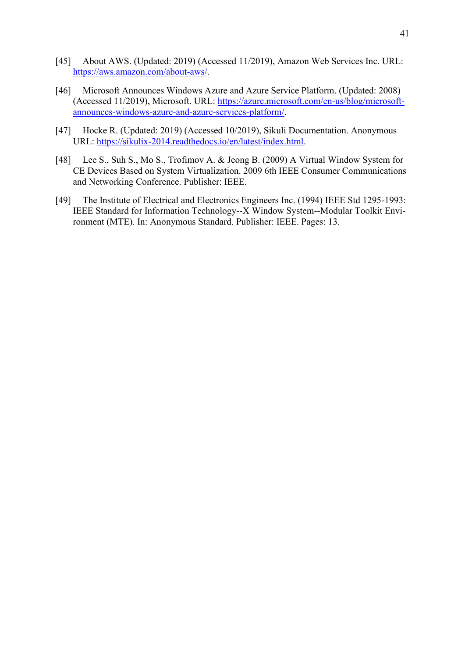- [45] About AWS. (Updated: 2019) (Accessed 11/2019), Amazon Web Services Inc. URL: [https://aws.amazon.com/about-aws/.](https://aws.amazon.com/about-aws/)
- [46] Microsoft Announces Windows Azure and Azure Service Platform. (Updated: 2008) (Accessed 11/2019), Microsoft. URL: [https://azure.microsoft.com/en-us/blog/microsoft](https://azure.microsoft.com/en-us/blog/microsoft-announces-windows-azure-and-azure-services-platform/)[announces-windows-azure-and-azure-services-platform/.](https://azure.microsoft.com/en-us/blog/microsoft-announces-windows-azure-and-azure-services-platform/)
- [47] Hocke R. (Updated: 2019) (Accessed 10/2019), Sikuli Documentation. Anonymous URL: [https://sikulix-2014.readthedocs.io/en/latest/index.html.](https://sikulix-2014.readthedocs.io/en/latest/index.html)
- [48] Lee S., Suh S., Mo S., Trofimov A. & Jeong B. (2009) A Virtual Window System for CE Devices Based on System Virtualization. 2009 6th IEEE Consumer Communications and Networking Conference. Publisher: IEEE.
- [49] The Institute of Electrical and Electronics Engineers Inc. (1994) IEEE Std 1295-1993: IEEE Standard for Information Technology--X Window System--Modular Toolkit Environment (MTE). In: Anonymous Standard. Publisher: IEEE. Pages: 13.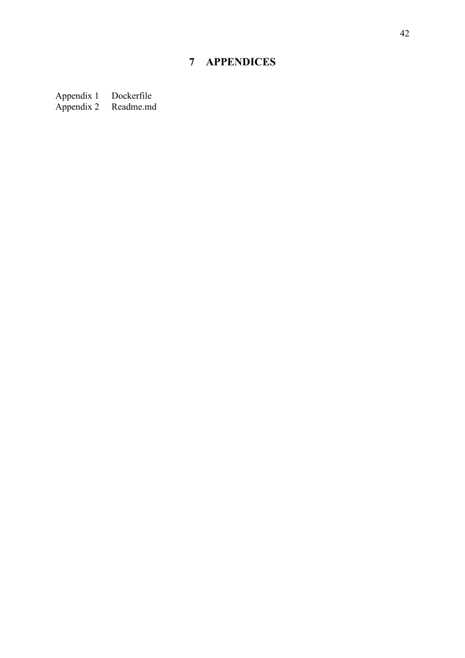# **7 APPENDICES**

<span id="page-41-0"></span>Appendix 1 Dockerfile Appendix 2 Readme.md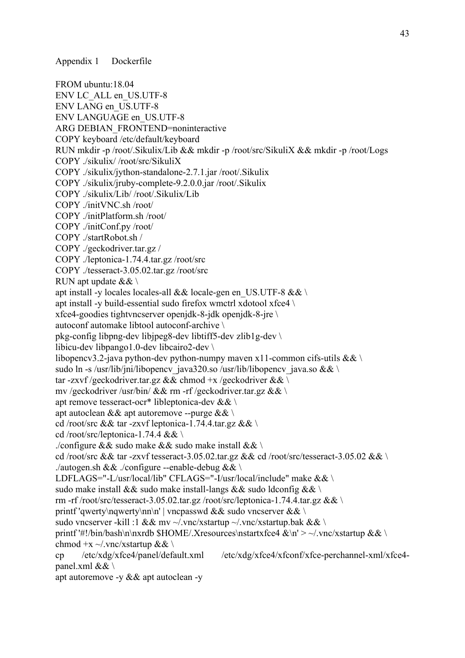FROM ubuntu:18.04 ENV LC\_ALL en\_US.UTF-8 ENV LANG en\_US.UTF-8 ENV LANGUAGE en\_US.UTF-8 ARG DEBIAN\_FRONTEND=noninteractive COPY keyboard /etc/default/keyboard RUN mkdir -p /root/.Sikulix/Lib && mkdir -p /root/src/SikuliX && mkdir -p /root/Logs COPY ./sikulix/ /root/src/SikuliX COPY ./sikulix/jython-standalone-2.7.1.jar /root/.Sikulix COPY ./sikulix/jruby-complete-9.2.0.0.jar /root/.Sikulix COPY ./sikulix/Lib/ /root/.Sikulix/Lib COPY ./initVNC.sh /root/ COPY ./initPlatform.sh /root/ COPY ./initConf.py /root/ COPY ./startRobot.sh / COPY ./geckodriver.tar.gz / COPY ./leptonica-1.74.4.tar.gz /root/src COPY ./tesseract-3.05.02.tar.gz /root/src RUN apt update && \ apt install -y locales locales-all && locale-gen en\_US.UTF-8 && \ apt install -y build-essential sudo firefox wmctrl xdotool xfce4 \ xfce4-goodies tightvncserver openjdk-8-jdk openjdk-8-jre \ autoconf automake libtool autoconf-archive \ pkg-config libpng-dev libjpeg8-dev libtiff5-dev zlib1g-dev \ libicu-dev libpango1.0-dev libcairo2-dev \ libopencv3.2-java python-dev python-numpy maven x11-common cifs-utils && \ sudo ln -s /usr/lib/jni/libopencv\_java320.so /usr/lib/libopencv\_java.so && \n tar -zxvf /geckodriver.tar.gz && chmod +x /geckodriver && \ mv /geckodriver /usr/bin/ && rm -rf /geckodriver.tar.gz && \ apt remove tesseract-ocr\* libleptonica-dev && \ apt autoclean & & apt autoremove --purge &  $\&$  \ cd /root/src && tar -zxvf leptonica-1.74.4.tar.gz && \ cd /root/src/leptonica-1.74.4 && \ ./configure && sudo make && sudo make install && \ cd /root/src && tar -zxvf tesseract-3.05.02.tar.gz && cd /root/src/tesseract-3.05.02 && \ ./autogen.sh && ./configure --enable-debug && \ LDFLAGS="-L/usr/local/lib" CFLAGS="-I/usr/local/include" make && \ sudo make install && sudo make install-langs && sudo ldconfig && \ rm -rf /root/src/tesseract-3.05.02.tar.gz /root/src/leptonica-1.74.4.tar.gz && \ printf 'qwerty\nqwerty\nn\n' | vncpasswd && sudo vncserver && \ sudo vncserver -kill :1 && mv ~/.vnc/xstartup ~/.vnc/xstartup.bak && \ printf '#!/bin/bash\n\nxrdb \$HOME/.Xresources\nstartxfce4 &\n' > ~/.vnc/xstartup && \ chmod +x ~/.vnc/xstartup && \ cp /etc/xdg/xfce4/panel/default.xml /etc/xdg/xfce4/xfconf/xfce-perchannel-xml/xfce4 panel.xml && \ apt autoremove -y && apt autoclean -y